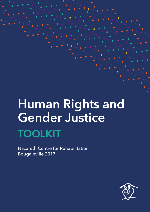# Human Rights and Gender Justice TOOLKIT

Nazareth Centre for Rehabilitation Bougainville 2017

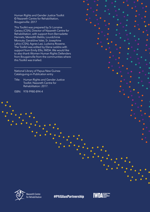Human Rights and Gender Justice Toolkit © Nazareth Centre for Rehabilitation, Bougainville: 2017

This Toolkit was prepared by Sr Lorraine Garasu (CSN), Director of Nazareth Centre for Rehabilitation, with support from Bernadette Hannets, Meredith Betitis, Lourdchinie Morouta, Geraldine Valei, Sr Josephine Lahio (CSN), Agnes Lasi, Ludwina Rowene. The Toolkit was edited by Elena Leddra with support from Emily Ellis, IWDA. We would like to also thank Women Human Rights Defenders from Bougainville from the communities where this Toolkit was trialled.

National Library of Papua New Guinea Cataloguing-in-Publication entry

Title: Human Rights and Gender Justice Toolkit. Nazareth Centre for Rehabilitation: 2017.

ISBN: 978-9980-894-4



**#PNGAusPartnership** 

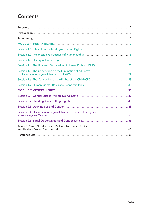## **Contents**

| Session 1.5: The Convention on the Elimination of All Forms    |  |
|----------------------------------------------------------------|--|
|                                                                |  |
|                                                                |  |
|                                                                |  |
|                                                                |  |
|                                                                |  |
|                                                                |  |
| Session 2.4: Discrimination against Women, Gender Stereotypes, |  |
|                                                                |  |
| Annex 1: 'From Gender Based Violence to Gender Justice         |  |
|                                                                |  |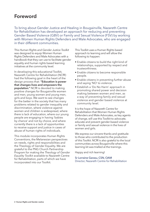### Foreword

To bring about Gender Justice and Healing in Bougainville, Nazareth Centre for Rehabilitation has developed an approach for reducing and preventing Gender Based Violence (GBV) or Family and Sexual Violence (FSV) by working with Women Human Rights Defenders and Male Advocates, who are engaged in their different communities.

This *Human Rights and Gender Justice Toolkit* was designed to equip Women Human Rights Defenders and Male Advocates with a handbook that they can use to facilitate gender equality and human rights based learning initiatives at the community level.

In developing this educational Toolkit, Nazareth Centre for Rehabilitation (NCfR) had the following goal in the heart of the design process that: "Education is power that changes lives and empowers the population." NCfR is devoted to making positive changes for Bougainville women and men, young women and young men, girls and boys. We want to see changes for the better in the society that has many problems related to gender inequality and discrimination, where violence against women and children is widespread, where there is lack of education, where our young people are engaging in having 'babies by chance' and not by choice, and where currently there is a lack of opportunities to receive support and justice in cases of abuse of human rights of individuals.

This module incorporates Human Rights Conventions, the Melanesian perspectives on needs, rights and responsibilities and the Theology of Gender Equality. We are grateful to the PNG Church Partnership Program for making the *Theology of Gender Equality Toolkit* available to Nazareth Centre for Rehabilitation, parts of which we have incorporated into our Toolkit.

This Toolkit uses a Human Rights based approach to learning and will allow the following to happen:

- Enable citizens to build the right kind of relationships, supported by respect and trustworthiness.
- Enable citizens to become responsible people.
- Enable citizens in preventing further abuse and saying 'NO' to violence.
- Establish a 'Do No Harm' approach in promoting shared power and decision making between women and men, as a way of preventing family and sexual violence and gender based violence at community level.

It is the hope of Nazareth Centre for Rehabilitation that Women Human Rights Defenders and Male Advocates, as key agents of change, will use this Toolkit to advocate, educate and prevent gender-based violence or family and sexual violence in the lives of women and girls.

We express our sincere thanks and gratitude to those who contributed to the production of this Toolkit. NCfR is also grateful to the local communities across Bougainville where this learning kit was trialled at the trainings.

Happy and rich learning!

Sr Lorraine Garasu, CSN, OAM Director, Nazareth Centre for Rehabilitation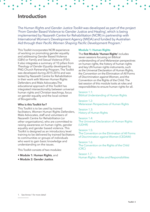### Introduction

The *Human Rights and Gender Justice Toolkit* was developed as part of the project 'From Gender Based Violence to Gender Justice and Healing', which is being implemented by Nazareth Centre for Rehabilitation (NCfR) in partnership with International Women's Development Agency (IWDA) and funded by Australian Aid through their Pacific Women Shaping Pacific Development Program. 1

This Toolkit incorporates NCfR experience of working on promoting gender equality and addressing Gender Based Violence (GBV) or Family and Sexual Violence (FSV). It also integrates a summary of 10 pillars from *Theology of Gender Equality* developed by PNG Church Partnership Program. The Toolkit was developed during 2015-2016 and was tested by Nazareth Centre for Rehabilitation in their work with Women Human Rights Defenders and Male Advocates.The educational approach of this Toolkit has integrated intersectionality between universal human rights and Christian teachings, focus on gender equality and the local context of Bougainville.

#### Who is this Toolkit for?

This Toolkit is to be used by trained facilitators, Women Human Rights Defenders, Male Advocates, staff and volunteers of Nazareth Centre for Rehabilitation (or other organisations), who are committed to raising awareness on human rights, gender equality and gender based violence. This Toolkit is designed as an introductory level training to be delivered by trained facilitators to communities or groups of individuals who want to gain basic knowledge and understanding on the issues.

This Toolkit consists of two modules:

- Module 1: Human Rights, and
- Module 2: Gender Justice.

#### Module 1: Human Rights

The first Module 'Human Rights' includes seven sessions focusing on Biblical understanding of and Melanesian perspectives on human rights, the history of human rights and key UN human rights instruments, such as the Universal Declaration of Human Rights, the Convention on the Elimination of All Forms of Discrimination against Women, and the Convention on the Rights of the Child. The last session of this module looks at roles and responsibilities to ensure human rights for all.

Session 1.1: Biblical Understanding of Human Rights

Session 1.2: Melanesian Perspectives of Human Rights

Session 1.3: History of Human Rights

Session 1.4: The Universal Declaration of Human Rights (UDHR)

Session 1.5: The Convention on the Elimination of All Forms of Discrimination against Women (CEDAW)

Session 1.6:

The Convention on the Rights of the Child (CRC)

Sesson 1.7: Human Rights – Roles and Responsibilities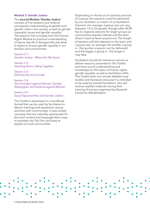#### Module 2: Gender Justice

The second Module 'Gender Justice' consists of five sessions and looks at conceptual understanding of gender and gender roles in the society, as well as gender inequality issues and gender equality. The sessions link concepts from the Human Rights Module to practical understanding of day to day life in Bougainville and what it means to ensure gender equality in our families and communities.

#### Session 2.1: Gender Justice – Where Do We Stand

Session 2.2: Standing Alone, Sitting Together

Session 2.3: Defining Sex and Gender

Session 2.4: Discrimination against Women, Gender Stereotypes, and Violence against Women

#### Session 2.5: Equal Opportunities and Gender Justice

This Toolkit is developed in a handbook format that can be used by facilitators to deliver trainings and awareness raising activities with communities. It uses simple concepts that are culturally appropriate for the local context and language that is easy to translate into Tok Pisin and easy to explain to local communities.

Depending on the focus of activities and size of a group, the sessions could be delivered by one facilitator or a team of co-facilitators (trainers). On average, a group size can vary between 15 to 25 people, though often NCfR has to organise sessions for larger groups as communities express interest and the team doesn't want to leave anyone out. The length of sessions will also depend on the topic and a group size, on average, the smaller a group is – the quicker a session can be delivered; and the bigger a group is - the longer it may take.

Facilitators should be trained as trainers to deliver sessions presented in this Toolkit and have sound understanding and knowledge on the topics of human rights, gender equality, as well as facilitation skills. This Toolkit does not include detailed case studies and handouts, because it is intended to be used by trained facilitators, who will receive needed materials during their training of trainers organised by Nazareth Centre for Rehabilitation.

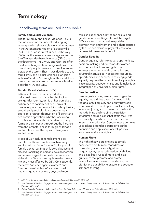## **Terminology**

### The following terms are used in this Toolkit.

#### Family and Sexual Violence

The term Family and Sexual Violence (FSV) is the most commonly understood language when speaking about violence against women in the Autonomous Region of Bougainville (AROB) and Papua New Guinea. Technically FSV is not the same as violence against women (VAW) or gender-based violence (GBV) but the three terms – FSV, VAW and GBV, are often used interchangeably in Bougainville with the majority of people unaware of the differences between the terms. Thus, it was decided to use term Family and Sexual Violence, alongside with VAW and GBV, throughout this Toolkit as it is most commonly used at community level to describe VAW and GBV.

#### Gender Based Violence (GBV)

GBV is violence that is directed at an individual based on his or her biological sex, gender identity, or his or her perceived adherence to socially defined norms of masculinity and femininity. It includes physical, sexual, and psychological abuse; threats; coercion; arbitrary deprivation of liberty; and economic deprivation, whether occurring in public or private life. GBV takes on many forms and can occur throughout the lifecycle, from the prenatal phase through childhood and adolescence, the reproductive years, and old age.

Types of GBV include female infanticide; harmful traditional practices such as early and forced marriage, "honour" killings, and female genital cutting; child sexual abuse and slavery; trafficking in persons; sexual coercion and abuse; neglect; domestic violence; and elder abuse. Women and girls are the most at risk and most affected by GBV. Consequently, the terms "violence against women" and "gender-based violence" are often used interchangeably. However, boys and men

can also experience GBV, as can sexual and gender minorities. Regardless of the target, GBV is rooted in structural inequalities between men and women and is characterized by the use and abuse of physical, emotional, or financial power and control.<sup>2</sup>

#### Gender Equality

Gender equality refers to equal opportunities, decision making and outcomes for women and men and for boys and girls. This involves the removal of discrimination and structural inequalities in access to resources, opportunities and services. Achieving gender equality requires the promotion of equal rights, since equality between males and females is an integral part of universal human rights.<sup>3</sup>

#### Gender Justice

Gender justice brings work towards gender equality into a rights based framework. It is the goal of full equality and equity between women and men in all spheres of life, resulting in women jointly, and on an equal basis with men, defining and shaping the policies, structures and decisions that affect their lives and society as a whole, based on their own interests and priorities. Gender justice commits us to taking a gender perspective on the definition and application of civil, political, economic and social rights.4

#### Human Rights

The rights that we are entitled to simply because we are human, regardless of citizenship, race, nationality, ethnicity, language, sex, sexual orientation or abilities and disabilities. A set of moral and legal guidelines that promote and protect recognition of our values, our identity, our dignity and our ability to ensure an adequate standard of living.<sup>5</sup>

- 2. ASS. Feminist Movement Builder's Dictionary. Second Edition. JASS: 2013, p.5
- 3. Safe Families. A Toolkit to Engage Communities to Respond to and Prevent Family Violence in Solomon Islands. Safe Families Program: 2016, p.21
- 4. Oxfam Canada. The Power of Gender-Just Organizations: A Conceptual Framework. Oxfam Canada: 2012, p.6.

<sup>5.</sup> Safe Families. A Toolkit to Engage Communities to Respond to and Prevent Family Violence in Solomon Islands. Safe Families Program: 2016, p.22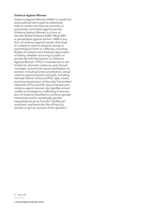#### Violence Against Women

Violence Against Women (VAW) is a technical (and political) term used to collectively refer to violent acts that are primarily or exclusively committed against women. Violence Against Women is a form of Gender Based Violence (GBV). Most GBV is perpetrated against women. VAW is any form of violence against women that does or is likely to result in physical, sexual or psychological harm or suffering, including threats of violence and arbitrary deprivation of liberty, whether occurring in public or private life (UN Declaration on Violence Against Women 1993). It includes but is not limited to: domestic violence; early forced marriage; commercial sexual exploitation of women, including forced prostitution; sexual violence against women and girls, including Intimate Partner Violence (IPV); rape; incest; knowing transmission of Sexually Transmitted Infections (STIs) and HIV; sexual harassment; violence against women during/after armed conflict or emergency; trafficking of women; acts of violence intended to reinforce gender hierarchies and/or perpetuate gender inequalities (such as harmful "traditional" practices); and femicide (the killing of a woman or girl on account of her gender).<sup>6</sup>

<sup>6.</sup> Ibid, p.25.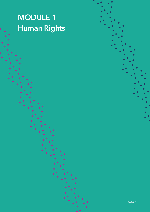# MODULE 1 Human Rights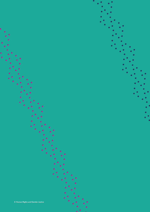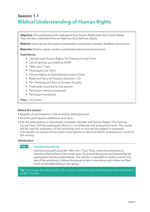### Session 1.1 Biblical Understanding of Human Rights

Objective: The participants will understand how Human Rights stem from God's Word. They will also understand Human Rights as God-defined Justice.

Method: Open group discussions, presentation, participant activities, feedback discussions

Materials: Butcher paper, markers, participant exercise books and pens

#### Tools/forms:

- 'Gender and Human Rights' Pre-Training Survey Form
- List of services provided by NCfR
- "Who Am I" Tool
- 'Participant List' Form
- Human Rights as God-Defined Justice Chart
- Bible and Story of Creation (Genesis 1:2)
- Ten Theological Pillars of Gender Equality
- Flashcards required for the session
- Participant handout materials
- Participant handbook

Time: 1.5-2 hours

#### Before the session

- Register all participants in the workshop participant list.
- Give the participants notebooks and pens.
- Ask the participants to individually complete 'Gender and Human Rights' Pre-Training Survey Form. Tell the participants that it is a confidential and anonymous form. The results will be used for evaluation of the workshop and no one will be judged or assessed individually, no names will be used in any reports or documentation prepared as a result of this activity.

#### Introduction

#### **Step 1** Introductory activity

Introduce yourself using the "Who Am I' Tool. Then, invite all participants to introduce themselves in the similar way. Go around the group and ensure that all participants introduce themselves. This activity is important to set the tone for the rest of the workshop, it allows the group to learn more about each other and feel more comfortable being in the group.

Tip: Try to keep this activity within 15 minutes or ask each participant to keep their introduction under 1 minute.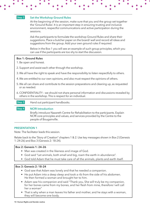#### Step 2 Set the Workshop Ground Rules

At the beginning of the session, make sure that you and the group set together the 'Ground Rules'. It is an important step in ensuring trusting and inclusive environment, respectful communications and active participation during the sessions.

Ask the participants to formulate the workshop Ground Rules and share their suggestions. Place a butcher paper on the board/ wall and record all ideas and suggestions from the group. Add your own ground rules if required.

Below in the Box 1 you will see an example of such group principles, which you can use if the participants are too shy to start the discussion.

#### Box 1: Ground Rules

- 1. Be open and honest.
- 2. Support and assist each other through the workshop.
- 3. We all have the right to speak and have the responsibility to listen respectfully to others.
- 4. We are entitled to our own opinions, and also must respect the opinions of others.
- 5. We all can share and contribute to the session preparations and cleaning up, as requested or as needed.
- 6. CONFIDENTIALITY we should not share personal information and discussions revealed by others in the workshop. This is respect for an individual.

**Step 3** Hand out participant handbooks.

#### Step 4 NCfR Introduction

Briefly introduce Nazareth Centre for Rehabilitation to the participants. Explain NCfR core principles and values, and services provided by the Centre to the people of Bougainville.

#### PRESENTATION 1

Note: The facilitator leads this session.

Relate back to the 'Story of Creation" chapters 1 & 2. Use key messages shown in Box 2 (Genesis 1: 24-26) and Box 3 (Genesis 2: 18-24).

#### Box 2: Genesis 1: 24–26

- Man was created in the likeness and image of God.
- God said "Let animals, both small and big, roam the earth in abundance".
- God told Adam that he must take care of all the animals, plants and earth itself.

#### Box 3: Genesis 2: 18–24

- God saw that Adam was lonely and that he needed a companion.
- He put Adam into a deep sleep and took a rib from the side of his abdomen. He then formed a woman and brought her to him.
- Adam saw his companion and said "Thank you, She will truly be my companion, for her bones came from my bones, and her flesh from mine, therefore I will call her a woman"
- That is why when a man leaves his father and mother, and he stays with a woman, they will become one body.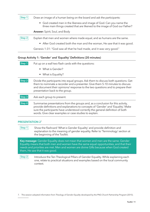| Step 1 | Draw an image of a human being on the board and ask the participants:                                                                              |
|--------|----------------------------------------------------------------------------------------------------------------------------------------------------|
|        | • God created men in the likeness and image of God. Can you name the<br>three main things created that are likened to the image of God our Father? |
|        | <b>Answer:</b> Spirit, Soul, and Body                                                                                                              |
| Step 2 | Explain that men and women where made equal, and as humans are the same.                                                                           |
|        | • After God created both the man and the woman, He saw that it was good.                                                                           |
|        | Genesis 1:31: "God saw all that he had made, and it was very good."                                                                                |

#### Group Activity 1: 'Gender' and 'Equality' Definitions (20 minutes)

| Step . | Put up on a wall two flash cards with the questions:                                                                                                                                                                                                                                                             |
|--------|------------------------------------------------------------------------------------------------------------------------------------------------------------------------------------------------------------------------------------------------------------------------------------------------------------------|
|        | • What is Gender?                                                                                                                                                                                                                                                                                                |
|        | • What is Equality?                                                                                                                                                                                                                                                                                              |
| Step 2 | Divide the participants into equal groups. Ask them to discuss both questions. Get<br>them to nominate a recorder and a presenter. Give them 5-10 minutes to discuss<br>and document their opinions/response to the two questions and to prepare their<br>presentation back to the group.                        |
| Step 3 | Ask each group to present.                                                                                                                                                                                                                                                                                       |
| Step 4 | Summarise presentations from the groups and, as a conclusion for this activity,<br>provide definitions and explanations to concepts of 'Gender' and 'Equality'. Make<br>sure the participants have understood correctly the general definition of both<br>words. Give clear examples or case studies to explain. |

#### PRESENTATION 27

Step 1 Show the flashcard 'What is Gender Equality' and provide definition and explanation to the meaning of gender equality. Refer to 'Terminology' section at the beginning of the Toolkit.

Key message: Gender Equality does not mean that women and men are the same. Gender Equality means that both men and women have the same equal opportunities, and that their needs and priorities are met. Men and women are divine Gifts because when God created them, He saw that it was good.

 $|$  Step 2 Introduce the Ten Theological Pillars of Gender Equality. While explaining each one, relate to practical situations and examples based on the local community context.

7. This session adopted information from *Theology of Gender Equality* developed by the PNG Church Partnership Program (2015).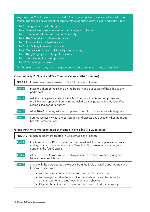Key message: Theology means 'knowledge', and the ten pillars run in accordance with the church. The ten pillars represent the stronghold of gender equality as defined in the Bible.

Pillar 1: Being human is a birth right Pillar 2: Human beings were created in God's image and likeness Pillar 3: Incarnation affirms our common humanity Pillar 4: The Gospel affirms human equality Pillar 5: Abundant life (Gutpela sindaun) Pillar 6: God's Kingdom as servanthood Pillar 7: Mutuality in Christian relationships and marriage Pillar 8: The gifting by the Holy Spirit is inclusive Pillar 9: Empowering the disempowered Pillar 10: Sex and gender roles

Ask the participants if they have any questions and/or comments on any of the pillars.

#### Group Activity 2: Pillar 2 and Ten Commandments (20-25 minutes)

| <b>PILLAR 2:</b> Human beings were created in God's image and likeness |                                                                                                                                                                                                 |
|------------------------------------------------------------------------|-------------------------------------------------------------------------------------------------------------------------------------------------------------------------------------------------|
| Step 1                                                                 | Place the chart of the Pillar 2 on the board. Hand out copies of the Bible to the<br>participants.                                                                                              |
| Step 2                                                                 | Ask the participants to identify the Ten Commandments and scriptures from<br>the Bible that represent human rights. Ask the participants to link the identified<br>examples to gender equality. |
| Step 3                                                                 | After 10-20 minutes, ask them to present their discussions to the whole group.                                                                                                                  |
| Step 4                                                                 | Summarise activity with the participants and discuss any questions that the group<br>has after presentations.                                                                                   |

#### Group Activity 3: Representation of Women in the Bible (15-20 minutes)

| <b>PILLAR 2:</b> Human beings were created in God's image and likeness |                                                                                                                                                                                                                                                                |
|------------------------------------------------------------------------|----------------------------------------------------------------------------------------------------------------------------------------------------------------------------------------------------------------------------------------------------------------|
| Step 1                                                                 | Continue with the Pillar 2 pinned on the board. Ask the participants to return to<br>their groups and with the use of the Bible, identify the names of women, who<br>appear in the four Gospels.                                                               |
| Step 2                                                                 | After 5-10 minutes ask volunteers to give names of these women during and<br>before the time of Jesus.                                                                                                                                                         |
| Step 3                                                                 | Share with the participants the extracts from the Bible that talk about women and<br>their roles (see Box 4).                                                                                                                                                  |
|                                                                        | • Ask them what they think or feel after reading the extracts.<br>• Ask everyone if they have noticed any reference to discrimination<br>against women in Jesus' teachings and behaviour.<br>• Discuss their views and any other questions asked by the group. |

г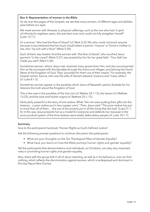#### Box 4: Representation of women in the Bible

As we scan the pages of the Gospels, we see that many women, of different ages and abilities pass before our eyes.

We meet women with illnesses or physical sufferings, such as the one who had "a spirit of infirmity for eighteen years, she was bent over and could not fully straighten herself" (Luke 13:11).

Or a woman "who had the flow of blood" (cf. Mark 5:25-34), who could not touch anyone because it was believed that her touch would deem a person "impure" or Simon's mother-inlaw, who "lay sick with a fever" (Mark 5:34).

Each of them was healed. And the woman with "the flow of blood", who touched Jesus' garment "in the crowd" (Mark 5:27), was praised by him for her great faith: "Your faith has made you well" (Mark 5:34).

Sometimes women, whom Jesus met, received many graces from Him, and also accompanied Him as He journeyed with the Apostles through the towns and villages, proclaiming the Good News of the Kingdom of God. They "provided for them out of their means". For example, the Gospel names Joanna, who was the wife of Herod's steward, Susanna and "many others" (cf. Luke 8:1-3).

Sometimes women appear in the parables which Jesus of Nazareth used to illustrate for his listeners the truth about the Kingdom of God.

This is the case in the parables of the lost coin (cf. Mather 25:1-13), the leaven (cf. Mathew 13:33), and the wise and foolish virgins (cf. Mathew 25:1-13).

Particularly powerful is the story of one widow. While "the rich were putting their gifts into the treasury…a poor widow put in two copper coins.'' Then, Jesus said:" This poor widow has put in more than all of them… she out of her poverty put in all the living that she had" (Luke 21:1- 4). In this way Jesus presents her as a model for everyone and defends her, because in the socio-juridical system of the time widows were totally defenceless people (cf. Luke 18:1-7).

#### Summary

Give to the participants handouts "Human Rights as God's Defined Justice".

Ask the following prompt questions to continue discussion the participants:

- What are your thoughts on the *Ten Theological Pillars of Gender Equality*?
- What have you learnt on how the Bible portrays human rights and gender equality?

Tell the participants that denominations and individuals, as Christians, can play very important roles in promoting human rights and gender equality.

Also, share with the group that in all of Jesus' teaching, as well as in his behaviour, one can find nothing, which reflects the discrimination against women, which is widespread and dominant in this day Papua New Guinea.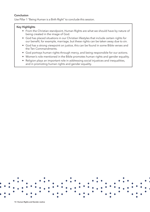#### Conclusion

Use Pillar 1 "Being Human is a Birth Right" to conclude this session.

#### Key Highlights

- From the Christian standpoint, Human Rights are what we should have by nature of being created in the image of God.
- God has placed situations in our Christian lifestyles that include certain rights for our benefit, for example, marriage, but these rights can be taken away due to sin.
- God has a strong viewpoint on justice, this can be found in some Bible verses and the Ten Commandments.
- God portrays human rights through mercy, and being responsible for our actions.
- Women's role mentioned in the Bible promotes human rights and gender equality.
- Religion plays an important role in addressing social injustices and inequalities, and in promoting human rights and gender equality.

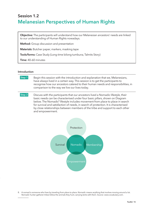### Session 1.2 Melanesian Perspectives of Human Rights

Objective: The participants will understand how our Melanesian ancestors' needs are linked to our understanding of Human Rights nowadays.

Method: Group discussion and presentation

Materials: Butcher paper, markers, masking tape

Tools/forms: Case Study (Long time bilong tumbuna, Talmits Story)

Time: 40–60 minutes

#### Introduction

| Step 1 | Begin this session with the introduction and explanation that we, Melanesians,<br>have always lived in a certain way. This session is to get the participants to<br>recognise how our ancestors catered to their human needs and responsibilities, in<br>comparison to the way we live our lives today.                                                                                                                                                    |
|--------|------------------------------------------------------------------------------------------------------------------------------------------------------------------------------------------------------------------------------------------------------------------------------------------------------------------------------------------------------------------------------------------------------------------------------------------------------------|
| Step 2 | Discuss with the participants that our ancestors lived a Nomadic lifestyle, their<br>basic needs can be characterised under four basic pillars, shown on Diagram<br>below. The Nomadic <sup>8</sup> lifestyle includes movement from place to place in search<br>for survival and satisfaction of needs, in search of protection. It is characterised<br>by close relationships between members of the tribe and support to each other<br>and empowerment. |



8. A nomad is someone who lives by traveling from place to place. *Nomadic* means anything that involves moving around a lot. *Nomadic* hunter-gatherer tribes follow the animals they hunt, carrying tents with them. Source: www.vocabulary.com.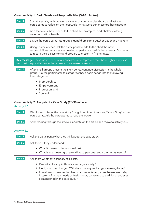#### Group Activity 1: Basic Needs and Responsibilities (5-10 minutes)

| Step 1              | Start this activity with drawing a circular chart on the blackboard and ask the<br>participants to reflect on their past. Ask, "What were our ancestors' basic needs?"                                                                 |
|---------------------|----------------------------------------------------------------------------------------------------------------------------------------------------------------------------------------------------------------------------------------|
| Step 2              | Add the top six basic needs to the chart. For example: Food, shelter, clothing,<br>water, education, health.                                                                                                                           |
| Step 3              | Divide the participants into groups. Hand them some butcher paper and markers.                                                                                                                                                         |
| Step 4              | Using this basic chart, ask the participants to add to the chart the basic<br>responsibilities our ancestors needed to perform to satisfy these needs. Ask them<br>to record their discussions and prepare to present in five minutes. |
|                     | Key message: These basic needs of our ancestors also represent their basic rights. They also<br>had basic responsibilities to these needs. Give an example or two.                                                                     |
| Step 5              | After small groups present their key points, continue discussion in the whole<br>group. Ask the participants to categorise these basic needs into the following<br>four categories:                                                    |
|                     | Membership,                                                                                                                                                                                                                            |
|                     | Empowerment,                                                                                                                                                                                                                           |
|                     | Protection, and<br>Survival.                                                                                                                                                                                                           |
|                     |                                                                                                                                                                                                                                        |
| <b>Activity 2.1</b> | Group Activity 2: Analysis of a Case Study (20-30 minutes)                                                                                                                                                                             |
| Stan 1              | Distribute copies of the case study 'Long time bilong tumbuna Talmits Stony' to the                                                                                                                                                    |

Distribute copies of the case study 'Long time bilong tumbuna, Talmits Story' to the participants. Ask the participants to read the article. **Step 2** After reading through the article, elaborate on the article and move to activity 2.2. Activity 2.2 **Step 1** Ask the participants what they think about this case study. **Step 2** Ask them if they understand: • What it means to be responsible? • What is the meaning of attending to personal and community needs?

**Step 3** Ask them whether this theory still exists.

- Does it still apply in this day and age society?
- If not, what has changed? What are our ways of living or learning today?
- How do most people, families or communities organise themselves today in terms of human needs or basic needs, compared to traditional societies as mentioned in the case study?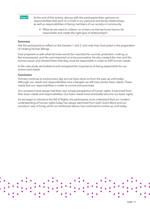

**Step 4** At the end of this activity, discuss with the participants their opinions on responsibilities that each of us hold in our personal and family relationships, as well as responsibilities of being members of our society or community.

> • What do we need to unlearn, or re-learn so that we know how to be responsible and create the right type of relationships?

#### Summary

Ask the participants to reflect on the Genesis 1 and 2, and note how God acted in the preparation of creating Human Beings.

God prepared us with what He knew would be important for survival, protection, making us feel empowered, and He commissioned us to be procreative. He also created the man and the woman equal, and showed them that they must be responsible in order to fulfil human needs.

In the case study, we looked at and compared the importance of being responsible for our actions and needs.

#### **Conclusion**

Humans continue to evolve every day and we have done so from the past up until today. Although our needs and responsibilities have changed, we still have similar basic needs. These needs fuel our responsibilities in order to survive and procreate.

Our ancestors have always had their own simple perspective of human rights. It stemmed from their basic needs and responsibilities. Our basic needs have eventually become our basic rights.

As we begin to introduce the Bill of Rights, the participants must understand that our modern understanding of human rights today has always stemmed from both God's Word and our ancestors' way of living, which as mentioned above, has continued to evolve up until today.

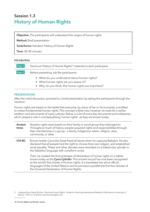### Session 1.3 History of Human Rights

Objective: The participants will understand the origins of human rights

Method: Brief presentation

Tools/forms: Handout 'History of Human Rights'

Time: 30–40 minutes

#### Introduction

| Step 1 | Hand out 'History of Human Rights' <sup>9</sup> materials to each participant.        |
|--------|---------------------------------------------------------------------------------------|
| Step 2 | Before presenting, ask the participants:                                              |
|        | • What do you understand about human rights?<br>• What human rights are you aware of? |

• Why, do you think, the human rights are important?

#### **PRESENTATION**

After the initial discussion, proceed to a brief presentation by taking the participants through the handout.

Human rights are based on the belief that everyone, by virtue of her or his humanity, is entitled to certain fundamental human rights. This concept is fairly new, however, its roots lie in earlier tradition and documents of many cultures. Below is a list of some key documents and milestones, which played a role in conceptualising 'human rights' as they are known today.

| Ancient<br>times | People's rights were based on their family or social group they belonged to.<br>Throughout much of history, people acquired rights and responsibilities through<br>their membership in a group - a family, indigenous nation, religion, class,<br>community, or state.                                                                                                                             |
|------------------|----------------------------------------------------------------------------------------------------------------------------------------------------------------------------------------------------------------------------------------------------------------------------------------------------------------------------------------------------------------------------------------------------|
| 539 BC           | Roman leader Cyrus the Great freed all slaves when he captured Babylon. He also<br>declared that all people had the right to choose their own religion, and established<br>racial equality. These and other decrees were recorded on a baked-clay cylinder in<br>the Akkadian language with cuneiform script.                                                                                      |
|                  | Then, he created the first prototype of declaration of human rights on a tablet,<br>known today as the Cyrus Cylinder. This ancient record has now been recognised<br>as the world's first charter of human rights. It is translated into all six official<br>languages of the United Nations and its provisions parallel the first four Articles of<br>the Universal Declaration of Human Rights. |

<sup>9.</sup> Adapted from David Shiman, Teaching Human Rights. Center for Teaching International Relations Publications, University of Denver, 1993: 6-7 and from www.humanrights.com.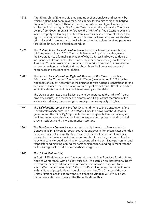| 1215 | After King John of England violated a number of ancient laws and customs by<br>which England had been governed, his subjects forced him to sign the Magna<br>Carta, or "Great Charter". This document is considered as of great importance<br>to history of human rights. The Magna Carta included the right of the Church to<br>be free from Governmental interference; the rights of all free citizens to own and<br>inherit property and to be protected from excessive taxes. It also established the<br>right of widows, who owned property, to choose not to remarry, and established<br>principles of due process and equality before the law. It also contained provisions<br>forbidding bribery and official misconduct. |
|------|-----------------------------------------------------------------------------------------------------------------------------------------------------------------------------------------------------------------------------------------------------------------------------------------------------------------------------------------------------------------------------------------------------------------------------------------------------------------------------------------------------------------------------------------------------------------------------------------------------------------------------------------------------------------------------------------------------------------------------------|
| 1776 | The United States Declaration of Independence, which was approved by the<br>US Congress on July 4, 1776. Thomas Jefferson, as its primary author, wrote<br>the Declaration as a formal explanation of why Congress had voted to declare<br>independence from Great Britain. It was a statement announcing that the thirteen<br>American Colonies were no longer a part of the British Empire. The Declaration<br>stressed two themes: individual rights (the right to life, liberty and pursuit of<br>happiness) and the right of revolution.                                                                                                                                                                                     |
| 1789 | The French Declaration of the Rights of Man and of the Citizen (French: La<br>Déclaration des Droits de l'Homme et du Citoyen) was adopted in 1789 by the<br>National Constituent Assembly as the first step toward writing a constitution for the<br>Republic of France. The Declaration captures spirit of the French Revolution, which<br>led to the abolishment of the absolute monarchy and feudalism.                                                                                                                                                                                                                                                                                                                       |
|      | The Declaration states that all citizens are to be guaranteed the rights of "liberty,<br>property, security, and resistance to oppression." It argues that members of the<br>society should enjoy the same rights; and it promotes equality of rights.                                                                                                                                                                                                                                                                                                                                                                                                                                                                            |
| 1791 | The <b>Bill of Rights</b> represents the first ten amendments to the Constitution of the<br>United States of America. The Bill of Rights limits the powers of the US federal<br>government. The Bill of Rights protects freedom of speech, freedom of religion,<br>the freedom of assembly and the freedom to petition. It protects the rights of all<br>citizens, residents and visitors in American territory.                                                                                                                                                                                                                                                                                                                  |
| 1864 | The First Geneva Convention was a result of a diplomatic conference held in<br>Geneva in 1864. Sixteen European countries and several American states attended<br>the conference in Geneva. The key purpose of this conference was to adopt a<br>convention for the treatment of wounded soldiers in combat, such as: obligation<br>to extend care without discrimination to wounded and sick military personnel; and<br>respect for and marking of medical personnel transports and equipment with the<br>distinctive sign of the red cross on a white background.                                                                                                                                                               |
| 1945 | <b>The United Nations (UN)</b><br>In April 1945, delegates from fifty countries met in San Francisco for the United<br>Nations Conference, with one key purpose - to establish an international body<br>to promote peace and prevent future wars. This was as a response to the<br>World War II which lasted from 1939 to 1945, and left many countries in ruins<br>with millions of people dead, homeless or starving. The Charter of the new<br>United Nations organization went into effect on October 24, 1945, a date<br>that is celebrated each year as the United Nations Day.                                                                                                                                             |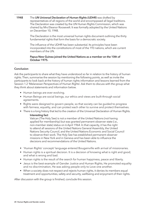1948 The *UN Universal Declaration of Human Rights (UDHR)* was drafted by representatives of all regions of the world and encompassed all legal traditions. The Declaration was created by the UN Human Rights Commission, which was chaired by Mrs Eleanor Roosevelt. It was formally adopted by the United Nations on December 10, 1948.

> The Declaration is the most universal human rights document outlining the thirty fundamental rights that form the basis for a democratic society.

> The influence of the UDHR has been substantial. Its principles have been incorporated into the constitutions of most of the 193 nations, which are current members of the UN.

#### Papua New Guinea joined the United Nations as a member on the 10th of October 1975.

#### Conclusion

Ask the participants to share what they have understood so far in relation to the history of human rights. Then, summarise the session by mentioning the following points, as well as invite the participants to look back at the history of human rights information and lessons learned from the Session 1.2 'Melanesian Perspectives of Human Rights'. Ask them to discuss with the group what they think about statements and information below.

- Human beings are ever evolving.
- Human Beings are social beings, our ethics and views are built through social agreements.
- Rights were designed to govern people, so that society can be guided to progress with fairness, equality, and can protect each other to survive and protect themselves.
- There is a long history that led to the creation of the Universal Declaration of Human Rights.
	- Interesting fact

Vatican (The Holy See) is not a member of the United Nations (not having applied for membership) but was granted permanent observer state (i.e., non-member state) status on 6 April 1964. In that capacity, it has the right to attend all sessions of the United Nations General Assembly, the United Nations Security Council, and the United Nations Economic and Social Council to observe their work. The Holy See has established permanent observer missions in New York and in Geneva and has been able to influence the decisions and recommendations of the United Nations.

- 'Human Rights' concept/ language entered Bougainville with arrival of missionaries.
- Human rights is a spiritual decision. It is a decision of knowing what is right and good; and what is wrong and bad.
- Human rights is the result of the search for human happiness, peace and liberty.
- Jesus is the best example of Gender Justice and Human Rights, He promoted equality and no discrimination, He was asking people only to Love one another.
- When a society does not respect and rejects human rights, it denies its members equal treatment and opportunities, safety and security, wellbeing and enjoyment of their rights.

After discussion with the group is finished, conclude this session.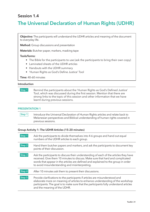### Session 1.4

### The Universal Declaration of Human Rights (UDHR)

Objective: The participants will understand the UDHR articles and meaning of the document to everyday life.

Method: Group discussions and presentation

Materials: Butcher paper, markers, masking tape

#### Tools/forms:

- The Bible for the participants to use (ask the participants to bring their own copy)
- Laminated sheets of the UDHR articles
- Handouts with the UDHR summary
- 'Human Rights as God's Define Justice' Tool

Time: 40–60 minutes

#### Introduction

**Step 1** Remind the participants about the 'Human Rights as God's Defined Justice' Tool, which was discussed during the first session. Mention that there are strong links to the topic of this session and other information that we have learnt during previous sessions.

#### PRESENTATION 1

Step 1 Introduce the Universal Declaration of Human Rights articles and relate back to Melanesian perspectives and Biblical understanding of human rights covered in previous sessions.

#### Group Activity 1: The UDHR Articles (15-20 minutes)

| Step 1 | Ask the participants to divide themselves into 4-6 groups and hand out equal<br>numbers of the UDHR articles to each group.                                                                                                                                                                                    |
|--------|----------------------------------------------------------------------------------------------------------------------------------------------------------------------------------------------------------------------------------------------------------------------------------------------------------------|
| Step 2 | Hand them butcher papers and markers, and ask the participants to document key<br>points of their discussion.                                                                                                                                                                                                  |
| Step 3 | Ask the participants to discuss their understanding of each of the articles they have<br>received. Give them 10 minutes to discuss. Make sure that hard and complicated<br>words that appear in the articles are defined and explained to the group in order<br>to avoid misunderstanding and misinterpreting. |
| Step 4 | After 10 minutes ask them to present their discussions.                                                                                                                                                                                                                                                        |
| Step 5 | Provide clarifications to the participants if articles are misunderstood and<br>elaborate more on meaning of articles to enhance understanding of the workshop<br>participants. The goal is to make sure that the participants fully understand articles<br>and the meaning of the UDHR.                       |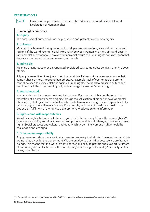#### PRESENTATION 2

Step  $1$  Introduce key principles of human rights<sup>10</sup> that are captured by the Universal Declaration of Human Rights.

#### Human rights principles

#### 1. Dignity

The core basis of human rights is the promotion and protection of human dignity.

#### 2. Universal

Meaning that human rights apply equally to all people, everywhere, across all countries and regions of the world. Gender equality (equality between women and men, girls and boys) is fundamental and essential. However, the universal nature of human rights does not mean that they are experienced in the same way by all people.

#### 3. Indivisible

Meaning that rights cannot be separated or divided, with some rights be given priority above others.

All people are entitled to enjoy all their human rights. It does not make sense to argue that some rights are more important than others. For example, lack of economic development cannot be used to justify violations against human rights. The need to preserve culture and tradition should NOT be used to justify violations against women's human rights.

#### 4. Interconnected

Human rights are interdependent and interrelated. Each human right contributes to the realization of a person's human dignity through the satisfaction of his or her developmental, physical, psychological and spiritual needs. The fulfilment of one right often depends, wholly or in part, upon the fulfilment of others. For example, fulfilment of the right to health may depend on fulfilment of the right to development, to education or to information.

#### 5. Rights come with responsiblities

We all have rights, but we must also recognise that all other people have the same rights. We have a responsibility and duty to respect and protect the rights of others, and not just our own rights. Social practices and cultural traditions which undermine women's rights should be challenged and changed.

#### 6. Government responsibility

Any government should ensure that all people can enjoy their rights. However, human rights are not gifts given by the government. We are entitled to our rights because we are human beings. This means that the Government has responsibility to protect and support fulfilment of human rights for all citizens of the country, regardless of gender, ability/ disability, status or any other factor.

<sup>10.</sup> Adopted from Human Rights Principles. UNFPA, 2005: http://www.unfpa.org/resources/human-rights-principles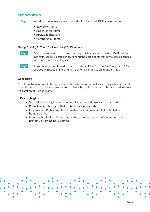#### PRESENTATION 3

 $\begin{array}{c|c|c|c|c|c} \textbf{Step 1} & \textbf{Introduce the following four categories in which the UDHR articles fall under:} \end{array}$ 

- Protective Rights,
- Empowering Rights,
- Survival Rights, and
- Membership Rights.

#### Group Activity 2: The UDHR Articles (20-25 minutes)

| Step 1 | Draw a table on the board and ask the participants to classify the UDHR articles<br>into four respective categories. Remind the participants that some articles can fall<br>into more than one category. |
|--------|----------------------------------------------------------------------------------------------------------------------------------------------------------------------------------------------------------|
| Step 2 | To summarise the discussion you can refer to Pillar 5 of the Ten Theological Pillars<br>of Gender Equality: "Every human being has a right to an abundant life".                                         |

#### Conclusion

Conclude the session with taking some final questions and remarks from the participants and provide more explanations and examples to clarify the topic of human rights and the Universal Declaration of Human Rights.

#### Key Highlights

- Survival Rights: Rights that meet our basic survival needs as human beings.
- Protective Rights: Rights that protect us as individuals.
- Empowering Rights: Rights that enable us to achieve our full potential as human beings.
- Membership Rights: Rights that enable us to feel a sense of belonging and protect us from being excluded.

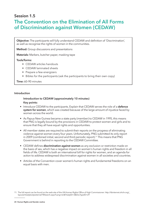### Session 1.5

### The Convention on the Elimination of All Forms of Discrimination against Women (CEDAW)

Objective: The participants will fully understand CEDAW and definition of 'Discrimination', as well as recognise the rights of women in the communities.

Method: Group discussions and presentations

Materials: Markers, butcher paper, masking tape

#### Tools/forms:

- CEDAW articles handouts
- CEDAW laminated sheets
- Prepare a few energizers
- Bibles for the participants (ask the participants to bring their own copy)

Time: 60–90 minutes

#### Introduction

#### Introduction to CEDAW (approximately 10 minutes) Key points:

- Introduce CEDAW to the participants. Explain that CEDAW serves the role of a **defence** system for women, which was created because of the large amount of injustice faced by women across the world.
- As Papua New Guinea became a state party (member) to CEDAW in 1995, this means that PNG is legally bound by the provisions in CEDAW to protect women and girls and to ensure that they all have equal rights and opportunities.
- All member states are required to submit their reports on the progress of eliminating violence against women every four years. Unfortunately, PNG submitted its only report in 2009 (combined initial, second and third periodic report).11 This means that PNG Government is behind in reporting to the CEDAW Committee.
- CEDAW defines discrimination against women as any exclusion or restriction made on the basis of sex, which has a negative impact on women's human rights and freedom in all fields of life. CEDAW is both an international bill for rights for women, and an agenda for action to address widespread discrimination against women in all societies and countries.
- Articles of the Convention cover women's human rights and fundamental freedoms on an equal basis with men.

<sup>11.</sup> The full report can be found on the web-site of the UN Human Rights Office of High Commissioner: http://tbinternet.ohchr.org/\_ layouts/treatybodyexternal/TBSearch.aspx?Lang=en&TreatyID=3&DocTypeID=29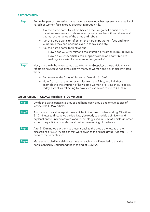#### PRESENTATION 1

| Step 1            | Begin this part of the session by narrating a case study that represents the reality of<br>hardships women face in today's society in Bougainville.                                                                                                                                                                                 |
|-------------------|-------------------------------------------------------------------------------------------------------------------------------------------------------------------------------------------------------------------------------------------------------------------------------------------------------------------------------------|
|                   | • Ask the participants to reflect back on the Bougainville crisis, where<br>countless women and girls suffered physical and emotional abuse and<br>trauma, at the hands of the army and rebels.                                                                                                                                     |
|                   | Ask the participants to reflect on the hardships women face and how<br>vulnerable they can become even in today's society.<br>• Ask the participants to think about:                                                                                                                                                                |
|                   | - How does CEDAW relate to the situation of women in Bougainville?<br>- How do CEDAW articles can support women and contribute to<br>making life easier for women in Bougainville?                                                                                                                                                  |
| Step 2            | Next, share with the participants a story from the Gospels, so the participants can<br>reflect on how Jesus has always shown mercy to women and never discriminated<br>them.                                                                                                                                                        |
|                   | For instance, the Story of Susanne: Daniel, 13:15-62.                                                                                                                                                                                                                                                                               |
|                   | Note: You can use other examples from the Bible, and link these<br>examples to the situation of how some women are living in our society<br>today, as well as reflecting to how such examples relate to CEDAW.                                                                                                                      |
|                   | Group Activity 1: CEDAW Articles (15-20 minutes)                                                                                                                                                                                                                                                                                    |
| Step 1            | Divide the participants into groups and hand each group one or two copies of<br>laminated CEDAW articles.                                                                                                                                                                                                                           |
| Step <sub>2</sub> | Ask them to try and interpret these articles in their own understanding. Give them<br>5-10 minutes to discuss. As the facilitator, be ready to provide definitions and<br>explanations to unfamiliar words and terminology used in CEDAW articles in order<br>to help the participants understand better the meaning of the treaty. |
| Step 3            | After 5-10 minutes, ask them to present back to the group the results of their<br>discussions of CEDAW articles that were given to their small group. Allocate 10-15<br>minutes for presentations.                                                                                                                                  |

**Step 4** Make sure to clarify or elaborate more on each article if needed so that the participants fully understand the meaning of CEDAW.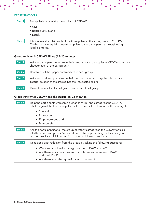#### PRESENTATION 2

#### Step 1 Put up flashcards of the three pillars of CEDAW:

- Civil,
- Reproductive, and
- Legal.

 $\boxed{\text{Step 2}}$  Introduce and explain each of the three pillars as the strongholds of CEDAW. The best way to explain these three pillars to the participants is through using local examples.

#### Group Activity 2: CEDAW Pillars (15–25 minutes)

| Step 1 | Ask the participants to return to their groups. Hand out copies of CEDAW summary<br>sheet to each of the participants.                        |
|--------|-----------------------------------------------------------------------------------------------------------------------------------------------|
| Step 2 | Hand out butcher paper and markers to each group.                                                                                             |
| Step 3 | Ask them to draw up a table on their butcher paper and together discuss and<br>categorise each of the articles into their respectful pillars. |
| Step 4 | Present the results of small group discussions to all group.                                                                                  |

#### Group Activity 3: CEDAW and the UDHR (15–25 minutes)

| Step 1 | Help the participants with some guidance to link and categorise the CEDAW<br>articles against the four main pillars of the Universal Declaration of Human Rights:                                                                           |
|--------|---------------------------------------------------------------------------------------------------------------------------------------------------------------------------------------------------------------------------------------------|
|        | • Survival,<br>Protection,<br>• Empowerment, and<br>• Membership.                                                                                                                                                                           |
| Step 2 | Ask the participants to tell the group how they categorised the CEDAW articles<br>into these four categories. You can draw a table representing the four categories<br>on the board and fill it in according to the participants' feedback. |
| Step 3 | Next, get a brief reflection from the group by asking the following questions:<br>• Was it easy or hard to categorise the CEDAW articles?<br>• Are there any similarities and/or differences between CEDAW<br>and the UDHR?                 |
|        | • Are there any other questions or comments?                                                                                                                                                                                                |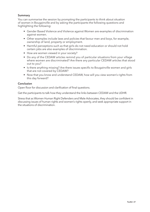#### Summary

You can summarise the session by prompting the participants to think about situation of women in Bougainville and by asking the participants the following questions and highlighting the following:

- Gender Based Violence and Violence against Women are examples of discrimination against women.
- Other examples include laws and policies that favour men and boys, for example, ownership of land, property or employment.
- Harmful perceptions such as that girls do not need education or should not hold certain jobs are also examples of discrimination.
- How are women viewed in your society?
- Do any of the CEDAW articles remind you of particular situations from your village where women are discriminated? Are there any particular CEDAW articles that stood out to you?
- Is there anything missing? Are there issues specific to Bougainville women and girls that are not covered by CEDAW?
- Now that you know and understand CEDAW, how will you view women's rights from this day forward?

#### **Conclusion**

Open floor for discussion and clarification of final questions.

Get the participants to talk how they understand the links between CEDAW and the UDHR.

Stress that as Women Human Right Defenders and Male Advocates, they should be confident in discussing issues of human rights and women's rights openly, and seek appropriate support in the situations of discrimination.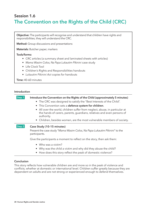### Session 1.6 The Convention on the Rights of the Child (CRC)

Objective: The participants will recognise and understand that children have rights and responsibilities; they will understand the CRC.

Method: Group discussions and presentations

Materials: Butcher paper, markers

#### Tools/forms:

- CRC articles (a summary sheet and laminated sheets with articles)
- *•* Mama Wasim Colos, Na Papa Lukautim Pikinini case study
- Life Clock Tool
- Children's Rights and Responsibilities handouts
- *•* Lukautim Pikinini Act copies for handouts

Time: 40–60 minutes

#### Introduction

### Step 1 Introduce the Convention on the Rights of the Child (approximately 5 minutes) • The CRC was designed to satisfy the "Best Interests of the Child". • This Convention sets a defence system for children. • All over the world, children suffer from neglect, abuse, in particular at the hands of carers, parents, guardians, relatives and even persons of authority. • Children, besides women, are the most vulnerable members of society. Step 2 Case Study (10–15 minutes) Present the case study "Mama Wasim Colos, Na Papa Lukautim Pikinini" to the participants. Give the participants a moment to reflect on the story, then ask them: • Who was a victim?

- Why was the child a victim and why did they abuse the child?
- How does this story reflect the peak of domestic violence?

#### Conclusion

This story reflects how vulnerable children are and more so in the peak of violence and conflicts, whether at domestic or international level. Children suffer greatly because they are dependent on adults and are not strong or experienced enough to defend themselves.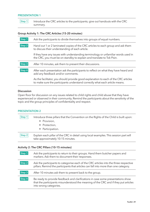#### PRESENTATION 1

Step  $1$  Introduce the CRC articles to the participants; give out handouts with the CRC summary.

#### Group Activity 1: The CRC Articles (15-20 minutes)

| Step <sub>1</sub> | Ask the participants to divide themselves into groups of equal numbers.                                                                                            |
|-------------------|--------------------------------------------------------------------------------------------------------------------------------------------------------------------|
| Step 2            | Hand out 1 or 2 laminated copies of the CRC articles to each group and ask them<br>to discuss their understanding of each article.                                 |
|                   | If they have any issues with understanding terminology or unfamiliar words used in<br>the CRC, you must be on standby to explain and translate to Tok Pisin.       |
| Step 3            | After 10 minutes, ask them to present their discussions.                                                                                                           |
| Step 4            | After each presentation ask the participants to reflect on what they have heard and<br>add any feedback and/or comments.                                           |
|                   | As the facilitator, you should provide good explanation to each of the CRC articles<br>to make sure the participants understand correctly what each article means. |

#### **Discussion**

Open floor for discussion on any issues related to child rights and child abuse that they have experienced or observed in their community. Remind the participants about the sensitivity of the topic and the group principles of confidentiality and respect.

#### PRESENTATION 2

| Step 1 | Introduce three pillars that the Convention on the Rights of the Child is built upon:<br>• Provision,                      |
|--------|----------------------------------------------------------------------------------------------------------------------------|
|        | Protection,<br>• Participation.                                                                                            |
| Step 2 | Explain each pillar of the CRC in detail using local examples. This session part will<br>take approximately 10-15 minutes. |

#### Activity 2: The CRC Pillars (10-15 minutes)

| Step 1 | Ask the participants to return to their groups. Hand them butcher papers and<br>markers. Ask them to document their responses.                                                                   |
|--------|--------------------------------------------------------------------------------------------------------------------------------------------------------------------------------------------------|
| Step 2 | Ask the participants to categorise each of the CRC articles into the three respective<br>pillars. Remind the participants that articles can fall into more than one category.                    |
| Step 3 | After 10 minutes ask them to present back to the group.                                                                                                                                          |
| Step 4 | Be ready to provide feedback and clarifications in case some presentations show<br>that the participants misunderstood the meaning of the CRC and if they put articles<br>into wrong categories. |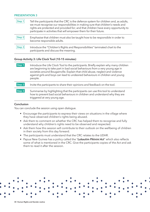#### PRESENTATION 3

| Step 1 | Tell the participants that the CRC is the defence system for children and, as adults,<br>we must recognise our responsibilities in making sure that children's needs and<br>rights are protected and provided for; and that children have every opportunity to<br>participate in activities that will empower them for their future. |
|--------|--------------------------------------------------------------------------------------------------------------------------------------------------------------------------------------------------------------------------------------------------------------------------------------------------------------------------------------|
| Step 2 | Emphasise that children must also be taught how to be responsible in order to<br>become responsible adults.                                                                                                                                                                                                                          |
| Step 3 | Introduce the "Children's Rights and Responsibilities" laminated chart to the<br>participants and discuss the meaning.                                                                                                                                                                                                               |

#### Group Activity 3: Life Clock Tool (10-15 minutes)

| Step 1 | Introduce the Life Clock Tool to the participants. Briefly explain why many children<br>are beginning to take part in bad social behaviours from a very young age in<br>societies around Bougainville. Explain that child abuse, neglect and violence<br>against girls and boys can lead to undesired behaviours in children and young<br>people. |
|--------|---------------------------------------------------------------------------------------------------------------------------------------------------------------------------------------------------------------------------------------------------------------------------------------------------------------------------------------------------|
| Step 2 | Invite the participants to share their opinions and feedback on the tool.                                                                                                                                                                                                                                                                         |
| Step 3 | Summarise by highlighting that the participants can use this tool to understand<br>how to prevent bad social behaviours in children and understand why they are<br>triggered at very young age.                                                                                                                                                   |

#### **Conclusion**

You can conclude the session using open dialogue.

- Encourage the participants to express their views on situations in the village where they have observed children's rights being abused.
- Ask them to comment on whether the CRC has helped them to recognise and fully understand why children's rights need to be observed and respected.
- Ask them how this session will contribute to their outlook on the wellbeing of children in their society from this day forward.
- The participants must understand that the CRC relates to the UDHR.
- Papua New Guinea has a policy called the "*Lukautim Pikinini Act*" which also reflects some of what is mentioned in the CRC. Give the participants copies of the Act and ask them to read it after the session.

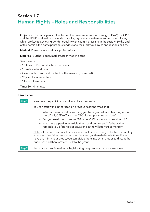### Session 1.7 Human Rights – Roles and Responsibilities

Objective: The participants will reflect on the previous sessions covering CEDAW, the CRC and the UDHR and realise that understanding rights come with roles and responsibilities, which are key to achieving gender equality within family units and in the society. By the end of this session, the participants must understand their individual roles and responsibilities.

Method: Presentations and group discussions

Materials: Butcher paper, markers, ruler, masking tape

#### Tools/forms:

- 'Roles and Responsibilities' handouts
- 'Equality Wheel' Tool
- Case study to support content of the session (if needed)
- 'Cycle of Violence' Tool
- 'Do No Harm' Tool

Time: 30–40 minutes

#### Introduction

**Step 1** Welcome the participants and introduce the session.

You can start with a brief recap on previous sessions by asking:

- What is the most valuable thing you have gained from learning about the UDHR, CEDAW and the CRC during previous sessions?
- Did you read the Lukautim Pikinini Act? What do you think about it?
- Was there a particular article that stood out for you? Perhaps that reminds you of particular situations in the village you come from?

Note: if there is a mixture of participants, it will be interesting to find out separately what the chiefs/elder men, adult men/women, youth male/female think. If you have this mix in your group, you can divide them into small groups to discuss the questions and then, present back to the group.

**Step 2** Summarise the discussion by highlighting key points or common responses.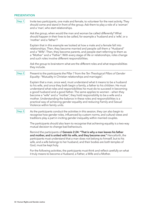#### **PRESENTATION**

 $\begin{array}{c|c|c|c|c|c} \textbf{Step 1} & \textbf{Invite two participants, one male and female, to volunteer for the next activity. They} \end{array}$ should come and stand in front of the group. Ask them to play a role of a 'woman' and a 'man', who start relationships.

> Ask the group, when would the man and woman be called differently? What should happen in their lives to be called, for example a 'husband and a 'wife', or a 'mother' and a 'father'?

> Explain that in this example we looked at how a male and a female fall into relationships. Then, they become married and people call them a "Husband" and a "Wife". Then, they become parents, and people start referring to them as a "Mother" and a "Father". With every stage of life or relationships, roles change and such roles involve different responsibilities.

> Ask the group to brainstorm what are the different roles and what responsibilities they include.

 Step 2 Present to the participants the Pillar 7 from the *Ten Theological Pillars of Gender Equality*: "Mutuality in Christian relationships and marriages".

> Explain that a man, once wed, must understand what it means to be a husband to his wife, and once they both begin a family, a father to his children. He must understand what roles and responsibilities he must do to succeed in becoming a good husband and a good father. The same applies to women – when they become a "wife" and a "mother", they hold responsibility to be a wife and a mother. Understanding the balance in these roles and responsibilities is a practical way of achieving gender equality and reducing Family and Sexual Violence within family units.

**Step 3** As the participants conduct the activities in this session, they can also begin to recognise how gender roles, influenced by custom norms, and cultural views and traditions play a part in inciting gender inequality within married couples.

> The participants should also learn to recognise that achieving equality is a two-way mutual decision to change bad behaviours.

Remind the participants of Genesis 2:24: "That is why a man leaves his father and mother, and is united with his wife, and they become one." Henceforth, the participants must understand that a man does not belong to himself, but to his wife, and a wife belongs to her husband, and their bodies are both temples of God, must be kept holy.

For the following activities, the participants must think and reflect carefully on what it truly means to become a Husband, a Father, a Wife and a Mother.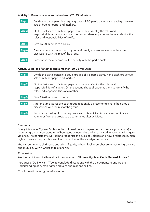#### Activity 1: Roles of a wife and a husband (20-25 minutes)

| Step 1 | Divide the participants into equal groups of 4-5 participants. Hand each group two<br>sets of butcher paper and markers.                                                                               |
|--------|--------------------------------------------------------------------------------------------------------------------------------------------------------------------------------------------------------|
| Step 2 | On the first sheet of butcher paper ask them to identify the roles and<br>responsibilities of a husband. On the second sheet of paper as them to identify the<br>roles and responsibilities of a wife. |
| Step 3 | Give 15-20 minutes to discuss.                                                                                                                                                                         |
| Step 4 | After the time lapses ask each group to identify a presenter to share their group<br>discussions with the rest of the group.                                                                           |
| Step 5 | Summarise the outcomes of this activity with the participants.                                                                                                                                         |
|        |                                                                                                                                                                                                        |

#### Activity 2: Roles of a father and a mother (20-25 minutes)

| Step 1 | Divide the participants into equal groups of 4-5 participants. Hand each group two<br>sets of butcher paper and markers.                                                                                |
|--------|---------------------------------------------------------------------------------------------------------------------------------------------------------------------------------------------------------|
| Step 2 | On the first sheet of butcher paper ask them to identify the roles and<br>responsibilities of a father. On the second sheet of paper as them to identify the<br>roles and responsibilities of a mother. |
| Step 3 | Give 15-20 minutes to discuss.                                                                                                                                                                          |
| Step 4 | After the time lapses ask each group to identify a presenter to share their group<br>discussions with the rest of the group.                                                                            |
| Step 5 | Summarise the key discussion points from this activity. You can also nominate a<br>volunteer from the group to do summaries after activities.                                                           |

#### Summary

Briefly introduce 'Cycle of Violence' Tool (if need be and depending on the group dynamics) to promote greater understanding of how gender inequality and unbalanced relations can instigate violence. The participants will learn to recognise the cycle of violence and how it relates to human rights, roles and responsibilities of each member of the society/community.

You can summarise all discussions using 'Equality Wheel' Tool to emphasise on achieving balance and mutuality within Christian relationships.

#### Conclusion

Ask the participants to think about the statement: "Human Rights as God's Defined Justice."

Introduce a 'Do No Harm' Tool to conclude discussions with the participants to endure their understanding of human rights and roles and responsibilities.

Conclude with open group discussion.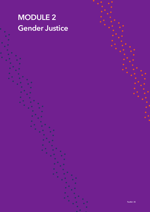## MODULE 2 Gender Justice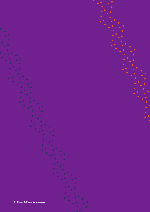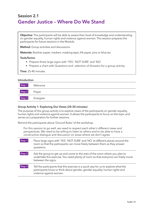### Session 2.1 Gender Justice – Where Do We Stand

Objective: The participants will be able to assess their level of knowledge and understanding on gender equality, human rights and violence against women. This session prepares the participants for future sessions in the Module.

Method: Group activities and discussions

Materials: Butcher paper, markers, masking tape, A4 paper, pins or blue tac

#### Tools/forms:

- Prepare three large signs with 'YES', 'NOT SURE' and 'NO'
- Prepare a chart with Questions and selection of Answers for a group activity

Time: 25-40 minutes

#### Introduction

| Step 1 | Welcome   |
|--------|-----------|
| Step 2 | Prayer    |
| Step 3 | Energizer |

#### Group Activity 1: Exploring Our Views (20-30 minutes)

The purpose of this group activity is to explore views of the participants on gender equality, human rights and violence against women. It allows the participants to focus on the topic and serves as a preparation for further sessions.

Remind the participants about 'Ground Rules' of the workshop.

For this session to go well, we need to respect each other's different views and perspectives. We need to be willing to listen to others and to be able to have a constructive dialogue and discussion on areas where we don't agree.

| Step 1            | Place large signs with 'YES', 'NOT SURE' and 'NO' at different places around the<br>room so that the participants can move freely between them as they answer<br>questions.                 |
|-------------------|---------------------------------------------------------------------------------------------------------------------------------------------------------------------------------------------|
| Step <sub>2</sub> | Ask the group to get up and come to the area of the room where you plan to<br>undertake this exercise. You need plenty of room so that everyone can freely move<br>between the signs.       |
| <b>Step 3</b>     | Tell the participants that this exercise is a quick way for us to explore what the<br>participants know or think about gender, gender equality, human rights and<br>violence against women. |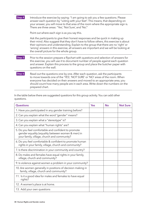| Introduce the exercise by saying: "I am going to ask you a few questions. Please<br>answer each question by "voting with your feet". This means, that depending on<br>your answer, you will move to that area of the room where the appropriate sign is.<br>There are three areas: "Yes', 'Not Sure', and 'No'."                                                                                    |
|-----------------------------------------------------------------------------------------------------------------------------------------------------------------------------------------------------------------------------------------------------------------------------------------------------------------------------------------------------------------------------------------------------|
| Point out where each sign is as you say this.                                                                                                                                                                                                                                                                                                                                                       |
| Ask the participants to give their honest responses and be quick in making up<br>their mind. Also suggest that they don't have to follow others, this exercise is about<br>their opinions and understanding. Explain to the group that there are no 'right' or<br>'wrong' answers in this exercise, all answers are important and we will be looking at<br>the overall picture for the whole group. |
| Prior to the session prepare a flipchart with questions and selection of answers for<br>this exercise, you will use it to document number of people against each question<br>and answer. Explain this process to the group and place the butcher paper with<br>questions on the wall.                                                                                                               |
| Read out the questions one by one. After each question, ask the participants<br>to move towards one of the 'YES', 'NOT SURE' or 'NO' areas of the room. When<br>everyone has decided on their answers and moved to an appropriate area, you<br>should count how many people are in each area. Write down the numbers on the<br>prepared chart.                                                      |
|                                                                                                                                                                                                                                                                                                                                                                                                     |

In the table below there are suggested questions for this group activity. You can add other questions.

| <b>Questions</b>                                                                                                                                        | Yes | <b>No</b> | <b>Not Sure</b> |
|---------------------------------------------------------------------------------------------------------------------------------------------------------|-----|-----------|-----------------|
| 1. Have you participated in any gender training before?                                                                                                 |     |           |                 |
| 2. Can you explain what the word "gender" means?                                                                                                        |     |           |                 |
| 3. Can you explain what a "stereotype" is?                                                                                                              |     |           |                 |
| 4. Can you explain what "human rights" are?                                                                                                             |     |           |                 |
| 5. Do you feel comfortable and confident to promote<br>gender equality (equality between women & men) in<br>your family, village, church and community? |     |           |                 |
| 6. Do you feel comfortable & confident to promote human<br>rights in your family, village, church and community?                                        |     |           |                 |
| 7. Is there discrimination in your community and country?                                                                                               |     |           |                 |
| 8. Do males and females have equal rights in your family,<br>village, church and community?                                                             |     |           |                 |
| 9. Is violence against women a problem in your community?                                                                                               |     |           |                 |
| 10. Are women generally in positions of decision making in<br>family, village, church and community?                                                    |     |           |                 |
| 11. Is it a good idea for males and females to have equal<br>rights?                                                                                    |     |           |                 |
| 12. A women's place is at home.                                                                                                                         |     |           |                 |
| 13. Add your own questions                                                                                                                              |     |           |                 |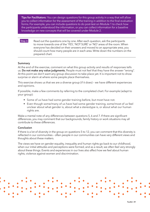**Tips for Facilitators:** You can design questions for this group activity in a way that will allow you to collect information for the assessment of the training in addition to the final evaluation forms. For example, you can include questions to do post-test on Module 1 to check how the participants understood the information, or you can collect information for a baseline knowledge on new concepts that will be covered under Module 2.

**Step 6** Read out the questions one by one. After each question, ask the participants to move towards one of the 'YES', 'NOT SURE' or 'NO' areas of the room. When everyone has decided on their answers and moved to an appropriate area, you should count how many people are in each area. Write down the numbers on the prepared chart.

#### Summary

At the end of the exercise, comment on what this group activity and results of responses tells us. Do not make any value judgments. People must not feel that they have the answer "wrong". At this point we don't want any group discussion to take place yet. It is important not to show surprise or alarm at where some people place themselves.

This exercise shows us that we are a diverse group (if it does) – we have different experiences and opinions.

If possible, make a few comments by referring to the completed chart. For example (adapt to your group):

- Some of us have had some gender training before, but most have not.
- Even though some/many of us have had some gender training, some/most of us feel unclear about what gender is, about what a stereotype is, or about what our human rights are.

Make a mental note of any differences between questions 5, 6 and 7. If there are significant differences, you may comment that our backgrounds, family history or work situations may all contribute to these differences.

#### **Conclusion**

If there is a lot of diversity in the group on questions 5 to 12, you can comment that this diversity is reflected in our communities – often people in our communities can have very different views and thoughts about these matters.

The views we have on gender equality, inequality and human rights go back to our childhood, when our initial attitudes and perceptions were formed, and as a result, we often feel very strongly about these things. Events and experiences in our lives also affect how we feel about human rights, violence against women and discrimination.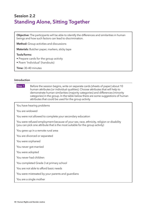### Session 2.2 Standing Alone, Sitting Together

Objective: The participants will be able to identify the differences and similarities in human beings and how such factors can lead to discrimination.

Method: Group activities and discussions

Materials: Butcher paper, markers, sticky tape

#### Tools/forms:

- Prepare cards for the group activity
- Poem 'Individual' (handouts)

Time: 30–40 minutes

#### Introduction

| Step 1                                                                         | Before the session begins, write on separate cards (sheets of paper) about 10    |  |
|--------------------------------------------------------------------------------|----------------------------------------------------------------------------------|--|
|                                                                                | human attributes (or individual qualities). Choose attributes that will help to  |  |
| demonstrate human similarities (majority categories) and differences (minority |                                                                                  |  |
|                                                                                | categories) in the group. In the table below there are some suggestions of human |  |
|                                                                                | attributes that could be used for the group activity                             |  |

You have hearing problems

You are widowed

You were not allowed to complete your secondary education

You were refused employment because of your sex, race, ethnicity, religion or disability (you can pick one attribute that is the most suitable for the group activity)

You grew up in a remote rural area

You are divorced or separated

You were orphaned

You never got married

You were adopted

You never had children

You completed Grade 3 at primary school

You are not able to afford basic needs

You were mistreated by your parents and guardians

You are a single mother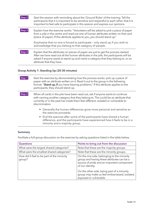| <b>Step</b> | Start the session with reminding about the 'Ground Rules' of the training. Tell the<br>participants that it is important to be sensitive and respectful to each other, that it is<br>important to feel safe to participate in this session and express our opinions.                          |
|-------------|-----------------------------------------------------------------------------------------------------------------------------------------------------------------------------------------------------------------------------------------------------------------------------------------------|
| Step 3      | Explain how the exercise works: "Volunteers will be asked to pick a piece of paper<br>from a pile in the centre and read out one of human attributes written on that card<br>(piece of paper). If this attribute applies to you, you should stand up."                                        |
|             | Emphasize that no one is forced to participate - only stand up if you wish to<br>acknowledge that you belong to that category of people.                                                                                                                                                      |
| Step 4      | Explain that the attributes on pieces of paper are just to get the process started.<br>After we have read out all the human attributes in the pile, the participants will be<br>asked if anyone wants to stand up and name a category that they belong to, or an<br>attribute that they have. |
|             |                                                                                                                                                                                                                                                                                               |

#### Group Activity 1: Standing Up (20-30 minutes)

| Step ' | Start the exercise by demonstrating how the process works: pick up a piece of<br>paper with an attribute written on it. Read it out to the group in the following<br>format: "Stand up, if you have hearing problems." If this attribute applies to the<br>participants, they should stand up. |
|--------|------------------------------------------------------------------------------------------------------------------------------------------------------------------------------------------------------------------------------------------------------------------------------------------------|
| Step 2 | When all cards in the pile have been read out, ask if anyone wants to continue<br>with naming another category that they belong to. This could be an attribute that<br>currently or in the past has made them feel different, isolated or vulnerable to<br>discrimination.                     |
|        | • Generally the human differences grow more personal and sensitive as<br>the exercise proceeds.<br>• End the exercise after some of the participants have shared a human<br>difference, and the participants have experienced how it feels to be in a<br>minority and a majority group.        |

#### Summary

Facilitate a full group discussion on the exercise by asking questions listed in the table below.

| <b>Questions</b>                                     | Points to bring out from the discussion                                                                                                                                                                                                                                              |
|------------------------------------------------------|--------------------------------------------------------------------------------------------------------------------------------------------------------------------------------------------------------------------------------------------------------------------------------------|
| What were the largest shared categories?             | Note that these are the majority groups.                                                                                                                                                                                                                                             |
| What were the smallest shared categories?            | Note that these are the minority groups.                                                                                                                                                                                                                                             |
| How did it feel to be part of the minority<br>group? | On the one side, belonging to the minority<br>group and having these attributes can be a<br>source of pride and an important component<br>of our identity.<br>On the other side, being part of a minority<br>group may make us feel embarrassed, isolated,<br>exposed or vulnerable. |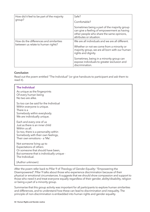| How did it feel to be part of the majority<br>group?                          | Safe?<br>Comfortable?<br>Sometimes being a part of the majority group<br>can give a feeling of empowerment as having<br>other people who share the same opinions,<br>attributes or situation.                                                                                        |
|-------------------------------------------------------------------------------|--------------------------------------------------------------------------------------------------------------------------------------------------------------------------------------------------------------------------------------------------------------------------------------|
| How do the differences and similarities<br>between us relate to human rights? | We are all individuals and we are all different.<br>Whether or not we come from a minority or<br>majority group, we are all born with our human<br>rights and dignity.<br>Sometimes, being in a minority group can<br>expose individuals to greater exclusion and<br>discrimination. |

#### **Conclusion**

Read out the poem entitled "The Individual" (or give handouts to participant and ask them to read it).

| <b>The Individual</b><br>As unique as the fingerprints<br>Of every human being<br>No two are alike.                                                                                         |
|---------------------------------------------------------------------------------------------------------------------------------------------------------------------------------------------|
| So too can be said for the Individual<br>Within everyone is unique.<br>There is a<br>Somebody within everybody.<br>We are individually unique.                                              |
| Each and every one of us<br>Just as there is an inner child<br>Within us all.<br>So too, there is a personality within<br>Somebody with their own feelings,<br>Their own emotions - a 'Me'. |
| Not someone living up to<br>Expectations of others<br>Or someone that should have been,<br>But someone that is individually unique -<br>The Individual.                                     |
| (Author unknown)                                                                                                                                                                            |

After the poem refer back to Pillar 9 of *Theology of Gender Equality*: "Empowering the Disempowered". Pillar 9 talks about those who experience discrimination because of their physical or emotional circumstances. It suggests that we should show compassion and support to those who need it and treat everyone equally regardless of their gender, ability/disability, religion or being a part of a minority group.

Summarise that this group activity was important for all participants to explore human similarities and differences, and to understand how these can lead to discrimination and inequality. The principle of non-discrimination is embedded into human rights and gender equality.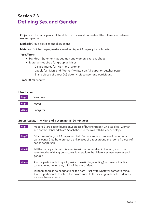### Session 2.3 Defining Sex and Gender

Objective: The participants will be able to explain and understand the differences between sex and gender.

Method: Group activities and discussions

Materials: Butcher paper, markers, masking tape, A4 paper, pins or blue tac

#### Tools/forms:

- Handout 'Statements about men and women' exercise sheet
- Materials required for group activities
	- 2 stick figures for 'Man' and 'Woman'
	- Labels for 'Man' and 'Woman' (written on A4 paper or butcher paper)
	- Blank pieces of paper (A5 size) 4 pieces per one participant

Time: 40–60 minutes

#### Introduction

| Step 1 | Welcome   |
|--------|-----------|
| Step 2 | Prayer    |
| Step 3 | Energizer |

#### Group Activity 1: A Man and a Woman (15-20 minutes)

| Step 1 | Prepare 2 large stick figures on 2 pieces of butcher paper. One labelled 'Woman'<br>and another labelled 'Man'. Attach these to the wall with blue tack or tape.                                      |
|--------|-------------------------------------------------------------------------------------------------------------------------------------------------------------------------------------------------------|
| Step 2 | Prior the session, cut A4 paper into half. Prepare enough pieces of paper for all<br>participants. Distribute pre-cut blank pieces of paper around the room: 4 pieces of<br>paper per person.         |
| Step 3 | Tell the participants that this exercise will be undertaken in the full group. The<br>key objective of this group activity is to explore the differences between sex and<br>gender.                   |
| Step 4 | Ask the participants to quickly write down (in large writing) two words that first<br>come to mind, when they think of the word 'Man'.                                                                |
|        | Tell them there is no need to think too hard - just write whatever comes to mind.<br>Ask the participants to attach their words next to the stick figure labelled 'Man' as<br>soon as they are ready. |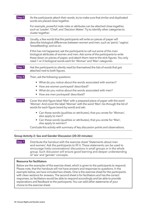| Step 5 | As the participants attach their words, try to make sure that similar and duplicated<br>words are placed close together.                                                                                                                                                                                                  |
|--------|---------------------------------------------------------------------------------------------------------------------------------------------------------------------------------------------------------------------------------------------------------------------------------------------------------------------------|
|        | For example, powerful male roles or attributes can be attached close together,<br>such as 'Leader', 'Chief', and 'Decision Maker'. Try to identify other categories to<br>cluster together.                                                                                                                               |
| Step 6 | Usually, a few words that the participants will write on pieces of paper will<br>describe biological differences between women and men, such as 'penis', 'vagina',<br>'breastfeeding', and so on.                                                                                                                         |
|        | If this has not happened, ask the participants to call out some of the main<br>biological attributes of women and men. Ask some of the participants to write<br>these down on pieces of paper, and attach them next to the stick figures. You only<br>need 1 or 2 biological words each for 'Woman' and 'Man' categories. |
| Step 7 | Ask the participants to silently read (to themselves) the lists of words that got<br>attached next to both figures.                                                                                                                                                                                                       |
| Step 8 | Then, ask the following questions:                                                                                                                                                                                                                                                                                        |
|        | • What do you notice about the words associated with women?                                                                                                                                                                                                                                                               |
|        | • How are women portrayed/ described?                                                                                                                                                                                                                                                                                     |
|        | • What do you notice about the words associated with men?<br>• How are men portrayed/ described?                                                                                                                                                                                                                          |
| Step 9 | Cover the stick figure label 'Man' with a prepared piece of paper with the word<br>'Woman'. And cover the label 'Woman' with the word 'Man'. Go through the list of<br>words for each figure (word-by-word) and ask:                                                                                                      |
|        | • Can these words (qualities or attributes), that you wrote for 'Woman',<br>also apply to men?                                                                                                                                                                                                                            |
|        | • Can these words (qualities or attributes), that you wrote for 'Man',<br>also apply to women?                                                                                                                                                                                                                            |
|        | Conclude this activity with summary of key discussion points and observations.                                                                                                                                                                                                                                            |

#### **Step 1** Distribute the handout with the exercise sheet 'Statements about men and women'. Ask the participants to fill it. These statements can be used to encourage lively conversations/ discussions in small groups or in the whole group. Such discussion will ensure good learning and deeper understanding of 'sex' and 'gender' concepts.

#### Resource for facilitators

Below are the examples of the exercise sheet, which is given to the participants to respond. Please note, that the handouts will not have answers and responses to questions. In the example below, we have included two sheets. One is the exercise sheet for the participants with clean sections for answers. The second sheet is for facilitators and has the correct responses, so facilitators would be able to respond accordingly and be able to provide explanations and feedback to the participants. You can add other statements of your choice to the exercise sheet.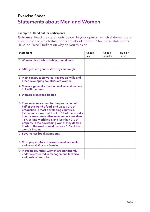### Exercise Sheet Statements about Men and Women

### Example 1: Hand out for participants

Guidance: Read the statements below. In your opinion, which statements are about 'sex' and which statements are about 'gender'? Are these statements 'True' or 'False'? Reflect on why do you think so.

| <b>Statement</b>                                                                                                                                                                                                                                                                                                                                                                                               | About<br><b>Sex</b> | About<br>Gender | True or<br><b>False</b> |
|----------------------------------------------------------------------------------------------------------------------------------------------------------------------------------------------------------------------------------------------------------------------------------------------------------------------------------------------------------------------------------------------------------------|---------------------|-----------------|-------------------------|
| 1. Women give birth to babies, men do not.                                                                                                                                                                                                                                                                                                                                                                     |                     |                 |                         |
| 2. Little girls are gentle, little boys are tough.                                                                                                                                                                                                                                                                                                                                                             |                     |                 |                         |
| 3. Most construction workers in Bougainville and<br>other developing countries are women.                                                                                                                                                                                                                                                                                                                      |                     |                 |                         |
| 4. Men are generally decision makers and leaders<br>in Pacific cultures.                                                                                                                                                                                                                                                                                                                                       |                     |                 |                         |
| 5. Women breastfeed babies.                                                                                                                                                                                                                                                                                                                                                                                    |                     |                 |                         |
| 6. Rural women account for the production of<br>half of the world's food, and up to 80% of<br>production in most developing countries.<br>Estimations show that 7 out of 10 of the world's<br>hungry are women. Also, women own less than<br>15% of land worldwide, and less than 2% of<br>property in the developing world; they do two-<br>thirds of the world's work, receive 10% of the<br>world's income. |                     |                 |                         |
| 7. Boys' voices break at puberty.                                                                                                                                                                                                                                                                                                                                                                              |                     |                 |                         |
| 8. Most perpetrators of sexual assault are male,<br>and most victims are female.                                                                                                                                                                                                                                                                                                                               |                     |                 |                         |
| 9. In Pacific countries, women are significantly<br>under-represented in management, technical<br>and professional jobs.                                                                                                                                                                                                                                                                                       |                     |                 |                         |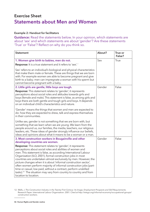### Exercise Sheet Statements about Men and Women

#### Example 2: Handout for facilitators

Guidance: Read the statements below. In your opinion, which statements are about 'sex' and which statements are about 'gender'? Are these statements 'True' or 'False'? Reflect on why do you think so.

| <b>Statement</b>                                                                                                                                                                                                                                                                                                                                                                                                                                                                                                                                                                                                                                           | About? | True or<br>False? |
|------------------------------------------------------------------------------------------------------------------------------------------------------------------------------------------------------------------------------------------------------------------------------------------------------------------------------------------------------------------------------------------------------------------------------------------------------------------------------------------------------------------------------------------------------------------------------------------------------------------------------------------------------------|--------|-------------------|
| 1. Women give birth to babies, men do not.<br>Response: It is a true statement and it refers to 'sex'.'                                                                                                                                                                                                                                                                                                                                                                                                                                                                                                                                                    | Sex    | <b>True</b>       |
| Sex' refers to an individual's biological and physical characteristics<br>that make them male or female. These are things that we are born<br>with. For example women are able to become pregnant and give<br>birth to a baby; men can impregnate a woman with his sperm but<br>cannot become pregnant with a baby.                                                                                                                                                                                                                                                                                                                                        |        |                   |
| 2. Little girls are gentle, little boys are tough.                                                                                                                                                                                                                                                                                                                                                                                                                                                                                                                                                                                                         | Gender | False             |
| <b>Response:</b> This statement relates to 'gender', it represents<br>perceptions about social roles and attitudes towards girls and<br>boys (female and male). This statement is false, as among girls and<br>boys there are both gentle and tough girls and boys. It depends<br>on an individual child's characteristics and nature.                                                                                                                                                                                                                                                                                                                     |        |                   |
| 'Gender' means the things that women and men are expected to<br>do: how they are expected to dress, talk and express themselves<br>in their communities.                                                                                                                                                                                                                                                                                                                                                                                                                                                                                                   |        |                   |
| Unlike sex, gender is not something that we are born with, but<br>something that we learn when we are young. We learn from the<br>people around us, our families, the media, teachers, our religious<br>leaders, etc. These ideas of gender strongly influence our beliefs,<br>ideas and opinions about what it means to be a woman or a man.                                                                                                                                                                                                                                                                                                              |        |                   |
| 3. Most construction workers in Bougainville and other                                                                                                                                                                                                                                                                                                                                                                                                                                                                                                                                                                                                     | Gender | False             |
| developing countries are women.                                                                                                                                                                                                                                                                                                                                                                                                                                                                                                                                                                                                                            |        |                   |
| <b>Response:</b> This statement relates to 'gender', it represents<br>perceptions about social roles and abilities of women and<br>men. This statement is false, as according International Labour<br>Organisation (ILO, 2001), formal construction jobs in most<br>countries are undertaken almost exclusively by men. However, the<br>picture changes when it is about 'informal construction sector',<br>often women perform majority of informal construction jobs (part-<br>time or casual, low paid, without a contract, perform unskilled<br>tasks). <sup>12</sup> The situation may vary from country to country and from<br>location to location. |        |                   |

<sup>12.</sup> Wells, J. The Construction Industry in the Twenty-First Century: Its Image, Employment Prospects and Skill Requirements. Research Paper. International Labour Organisation: 2001. Cited at http://wiego.org/informal-economy/occupational-groups/ construction-workers.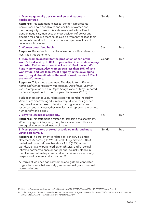| 4. Men are generally decision makers and leaders in<br>Pacific cultures.                                                                                                                                                                                                                                                                                                                                                                                                | Gender | True |
|-------------------------------------------------------------------------------------------------------------------------------------------------------------------------------------------------------------------------------------------------------------------------------------------------------------------------------------------------------------------------------------------------------------------------------------------------------------------------|--------|------|
| <b>Response:</b> This statement relates to 'gender', it represents<br>perceptions about social roles and abilities of women and<br>men. In majority of cases, this statement can be true. Due to<br>gender inequality, men occupy most positions of power and<br>decision making. But there could also be women who lead their<br>communities and make decisions, for example in matrilineal<br>cultures and societies.                                                 |        |      |
| 5. Women breastfeed babies.                                                                                                                                                                                                                                                                                                                                                                                                                                             | Sex    | True |
| <b>Response:</b> Breastfeeding is ability of women and it is related to<br>'sex'. It is a true statement.                                                                                                                                                                                                                                                                                                                                                               |        |      |
| 6. Rural women account for the production of half of the<br>world's food, and up to 80% of production in most developing<br>countries. Estimations show that 7 out of 10 of the world's<br>hungry are women. Also, women own less than 15% of land<br>worldwide, and less than 2% of property in the developing<br>world; they do two-thirds of the world's work, receive 10% of<br>the world's income.<br>Response: This is a true statement. The data is from Women's | Gender | True |
| Rights and Gender Equality: International Day of Rural Women<br>2015. Compilation of an In-Depth Analysis and a Study. Prepared<br>for Policy Department of the European Parliament (2015). <sup>13</sup>                                                                                                                                                                                                                                                               |        |      |
| Such economic inequality relates closely to gender inequality.<br>Women are disadvantaged in many ways due to their gender,<br>they have limited access to decision making, education and<br>resources, and as a result, they earn less and represent the largest<br>number of world's poor.                                                                                                                                                                            |        |      |
| 7. Boys' voices break at puberty.                                                                                                                                                                                                                                                                                                                                                                                                                                       | Sex    | True |
| Response: This statement is related to 'sex'. It is a true statement.<br>When boys grow into young men, their voices break. This is a<br>biologically determined feature of males.                                                                                                                                                                                                                                                                                      |        |      |
| 8. Most perpetrators of sexual assault are male, and most<br>victims are female.                                                                                                                                                                                                                                                                                                                                                                                        | Gender | True |
| <b>Response:</b> This statement is related to 'gender'. It is a true<br>statement. According to World Health Organisation (2016),<br>global estimates indicate that about 1 in 3 (35%) women<br>worldwide have experienced either physical and/or sexual<br>intimate partner violence or non-partner sexual violence in<br>their lifetime. Intimate partner and sexual violence are mostly<br>perpetrated by men against women. <sup>14</sup>                           |        |      |
| All forms of violence against women and girls are connected<br>to gender norms that embody gender inequality and unequal<br>power relations.                                                                                                                                                                                                                                                                                                                            |        |      |

<sup>13.</sup> See: http://www.europarl.europa.eu/RegData/etudes/STUD/2015/536466/IPOL\_STU(2015)536466\_EN.pdf

<sup>14.</sup> Violence Against Women: Intimate Partner and Sexual Violence Against Women. Fact Sheet. WHO: 2016 (Updated November 2016): http://www.who.int/mediacentre/factsheets/fs239/en/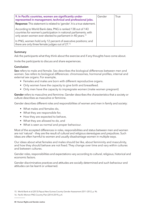| 9. In Pacific countries, women are significantly under-<br>represented in management, technical and professional jobs.<br><b>Response:</b> This statement is related to 'gender'. It is a true statement. | Gender | True |
|-----------------------------------------------------------------------------------------------------------------------------------------------------------------------------------------------------------|--------|------|
| According to World Bank data, PNG is ranked 138 out of 143<br>countries for women's participation in national parliaments, with<br>only seven women ever elected to parliament in 40 years. <sup>15</sup> |        |      |
| In PNG, women hold only 12 percent of executive positions; and<br>there are only three female judges out of 27. <sup>16</sup>                                                                             |        |      |

#### Summary

Ask the participants what they think about the exercise and if any thoughts have come about.

Invite the participants to discuss and share experiences.

#### **Conclusion**

Sex refers to male and female. Sex describes the biological differences between men and women. Sex refers to biological differences: chromosomes, hormonal profiles, internal and external sex organs. For example,

- Females and males are born with different reproductive organs.
- Only women have the capacity to give birth and breastfeed.
- Only men have the capacity to impregnate women (make women pregnant)

Gender refers to masculine and feminine. Gender describes the characteristics that a society or culture describes as masculine or feminine.

Gender describes different roles and responsibilities of women and men in family and society:

- What males and females do,
- What they are responsible for,
- How they are expected to behave,
- What they are allowed to do, and
- What is seen as normal and proper behaviour.

Most of the accepted differences in roles, responsibilities and status between men and women are not 'natural' – they are the result of cultural and religious stereotypes and prejudices. Such ideas are often harmful to women and usually disadvantage women in multiple ways.

Our ideas about what females and males should be like, about femininity and masculinity, and how they should behave are not fixed. They change over time and vary within cultures and between cultures.

Gender roles, responsibilities and expectations vary according to cultural, religious, historical and economic factors.

Gender discriminative practices and attitudes are socially determined and such behaviour and attitudes can be learnt or unlearned.

<sup>15.</sup> World Bank et al (2013) Papua New Guinea Country Gender Assessment 2011–2012, p. 96.

<sup>16</sup>. Pacific Women PNG Country Plan (2014–2019), p.4.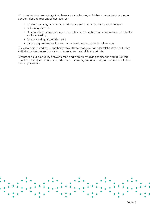It is important to acknowledge that there are some factors, which have promoted changes in gender roles and responsibilities, such as:

- Economic changes (women need to earn money for their families to survive),
- Political upheaval,
- Development programs (which need to involve both women and men to be effective and successful),
- Educational opportunities, and
- Increasing understanding and practice of human rights for all people.

It is up to women and men together to make these changes in gender relations for the better, so that all women, men, boys and girls can enjoy their full human rights.

Parents can build equality between men and women by giving their sons and daughters equal treatment, attention, care, education, encouragement and opportunities to fulfil their human potential.

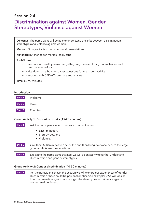### Session 2.4 Discrimination against Women, Gender Stereotypes, Violence against Women

Objective: The participants will be able to understand the links between discrimination, stereotypes and violence against women.

Method: Group activities, discussions and presentations

Materials: Butcher paper, markers, sticky tape

#### Tools/forms:

- Have handouts with poems ready (they may be useful for group activities and to start conversations)
- Write down on a butcher paper questions for the group activity
- Handouts with CEDAW summary and articles

#### Time: 60–90 minutes

#### Introduction

| Step 1 | Welcome   |
|--------|-----------|
| Step 2 | Prayer    |
| Step 3 | Energizer |

#### Group Activity 1: Discussion in pairs (15-20 minutes)

| Step 1             | Ask the participants to form pairs and discuss the terms:                                                                    |  |
|--------------------|------------------------------------------------------------------------------------------------------------------------------|--|
|                    | • Discrimination,<br>• Stereotypes, and<br>• Violence.                                                                       |  |
| Step 2             | Give them 5-10 minutes to discuss this and then bring everyone back to the large<br>group and discuss the definitions.       |  |
| $\mathsf{Step}\,3$ | Explain to the participants that next we will do an activity to further understand<br>discrimination and gender stereotypes. |  |

#### Group Activity 2: Gender discrimination (40-50 minutes)

**Step 1** Tell the participants that in this session we will explore our experiences of gender discrimination (these could be personal or observed examples). We will look at how discrimination against women, gender stereotypes and violence against women are interlinked.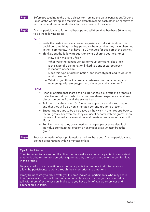| Step 2 | Before proceeding to the group discussion, remind the participants about 'Ground<br>Rules' of the workshop and that it is important to respect each other, be sensitive to<br>each other and keep confidential information inside of the circle.                                                                                                                                                                                                                                                                                                                                                                                                                                                                                                                                 |
|--------|----------------------------------------------------------------------------------------------------------------------------------------------------------------------------------------------------------------------------------------------------------------------------------------------------------------------------------------------------------------------------------------------------------------------------------------------------------------------------------------------------------------------------------------------------------------------------------------------------------------------------------------------------------------------------------------------------------------------------------------------------------------------------------|
| Step 3 | Ask the participants to form small groups and tell them that they have 30 minutes<br>to do the following tasks:                                                                                                                                                                                                                                                                                                                                                                                                                                                                                                                                                                                                                                                                  |
|        | Part 1<br>Invite the participants to share an experience of discrimination. This<br>$\bullet$<br>could be something that happened to them or what they have observed<br>in their community. They have 15-20 minutes for this part of the activity.<br>Think about the following questions while sharing your example:<br>$\bullet$<br>- How did it make you feel?<br>- What were the consequences for your/ someone else's life?<br>- Is this type of discrimination linked to gender stereotypes?<br>Is it a form of sexism?<br>Does this type of discrimination (and stereotypes) lead to violence<br>against women?<br>- What do you think the links are between discrimination against<br>women, gender stereotypes and violence against women?                              |
|        | Part 2                                                                                                                                                                                                                                                                                                                                                                                                                                                                                                                                                                                                                                                                                                                                                                           |
|        | After all participants shared their experiences, ask groups to prepare a<br>$\bullet$<br>collective report back, which summarises shared experiences and key<br>discussion points from all the stories heard.<br>Tell them that they have 10-15 minutes to prepare their group report<br>$\bullet$<br>and that they will be given 5 minutes per one group to present.<br>Encourage groups to be as creative as they wish in their reports back to<br>the full group. For example, they can use flipcharts with diagrams, show<br>pictures, do a verbal presentation, and create a poem, a drama or 'still<br>life' act.<br>Remind them that they don't need to name people or share details of<br>individual stories, rather present on examples as a summary from the<br>group. |
| Step 4 | Report summaries of group discussions back to the group. Ask the participants to                                                                                                                                                                                                                                                                                                                                                                                                                                                                                                                                                                                                                                                                                                 |

Tips for facilitators:

The discussion topic can be difficult and emotional for some participants. It is important that the facilitator monitors emotions generated by the stories and energy/ comfort level in the groups.

Be prepared to give more time for the participants to complete their discussions to allow the participants to work through their memories and emotions.

do their presentations within 5 minutes or less.

It may be necessary to talk privately with some individual participants, who may share their personal incidents of discrimination or violence, or to arrange for a counsellor to talk with them after the session. Make sure you have a list of available services and counsellors available.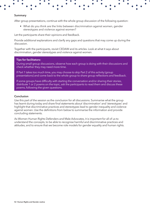#### Summary

After group presentations, continue with the whole group discussion of the following question:

• What do you think are the links between discrimination against women, gender stereotypes and violence against women?

Let the participants share their opinions and feedback.

Provide additional explanations and clarify any gaps and questions that may come up during the discussion.

Together with the participants, revisit CEDAW and its articles. Look at what it says about discrimination, gender stereotypes and violence against women.

#### Tips for facilitators:

During small group discussions, observe how each group is doing with their discussions and check whether they may need more time.

If Part 1 takes too much time, you may choose to skip Part 2 of this activity (group presentations) and come back to the whole group to share group reflections and feedback.

If some groups have difficulty with starting the conversation and/or sharing their stories, distribute 1 or 2 poems on the topic, ask the participants to read them and discuss these poems, following the given questions.

#### Conclusion

Use this part of the session as the conclusion for all discussions. Summarise what the group has learnt during today and share final statements about 'discrimination' and 'stereotypes' and highlight that discriminative practices and stereotypes lead to gender inequality and violence against women. Use the definitions from below to summarise the information and provide concluding statements.

As Women Human Rights Defenders and Male Advocates, it is important for all of us to understand the concepts, to be able to recognise harmful and discriminative practices and attitudes, and to ensure that we become role models for gender equality and human rights.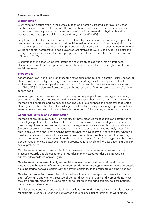#### Resources for facilitators

#### **Discrimination**

Discrimination occurs when in the same situation one person is treated less favourably than another person, because of a human attribute or characteristic such as race, nationality, sex, marital status, sexual preference, parenthood status, religion, mental or physical disability, or because they have a physical illness or condition, such as HIV/AIDS.

People who suffer discrimination are seen as inferior by the dominant or majority group, and have less power or control over resources and decision making than the dominant or majority social group. Examples can be diverse: white persons over black persons, men over women, older over younger people, heterosexual people over representatives of LGBT (lesbian, gay, bisexual and transgender) communities, fully abled people over people with disabilities, rich over poor, and 'US' versus 'THEM'.

Discrimination is based on beliefs, attitudes and stereotypes about human differences. Discrimination attitudes and practices come about and are reinforced through a number of social processes.

#### **Stereotypes**

A stereotype is an idea or opinion that some categories of people have certain (usually negative) characteristics. Stereotypes are rigid, over-simplified and highly selective opinions about the abilities and attributes of a particular social group. For example, there are stereotypical opinions that "HIV/AIDS is a disease of prostitutes and homosexuals" or "women are bad drivers" or "men cannot cook".

A stereotype is a preconceived notion about a group of people. Many stereotypes are racist, sexist or homophobic. The problem with any stereotypes is that they are not true in many cases. Stereotypes generalise and do not consider diversity of experiences and characteristics. Often stereotypes are based on lack of knowledge about the topic or a particular group. It is not fair to stereotype a whole group of people based on one person's behaviour, experience or opinion.

#### Gender Stereotypes and Discrimination

Stereotypes are rigid, over-simplified and usually prejudiced views of abilities and attributes of a social group of people, which are often based on unfair assumptions and ignore evidence to the contrary. Stereotypes can be passed from one generation to another through socialisation. Stereotypes are internalised, that means that we come to accept them as 'normal', 'natural' and 'true', because we don't know anything beyond what we have learnt or heard to date. When we meet someone who does not fit our stereotype or perception how things should be, we may see that someone as an 'exception from the rule' or as a 'special' case. Stereotypes can be about gender, race/ethnicity, class, social income groups, nationality, disability, occupational groups or sexual preference.

Gender stereotypes and gender discrimination refers to negative stereotypes and harmful practices towards people based on their gender. In many cases, gender discrimination is addressed towards women and girls.

Gender stereotypes are culturally and socially defined beliefs and perceptions about the emotions and behaviour of women and men. Gender role stereotyping occurs whenever people are expected to behave a certain way or perform certain tasks solely based upon their gender.

Gender discrimination means discrimination based on a person's gender or sex, which more often affects girls and women. Because of gender discrimination, girls and women do not have the same opportunities as boys and men for education, meaningful careers, political influence, and economic advancement.

Gender stereotypes and gender discrimination leads to gender inequality and harmful practices, for example, such as violence against women and girls or sexual harassment at work place.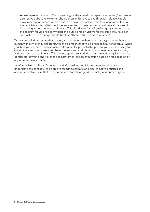An example: A comment "Dress up nicely, or else you will be raped or assaulted," represents a stereotype about how women should dress or behave to avoid sexual violence. People make assumptions about women based on how they look or what they wear rather than on their abilities and qualities. Such stereotypes lead to gender discrimination and may result in blaming victim-survivors of violence. This also diverts focus from bringing a perpetrator to the account for violence committed and puts blame on victims for the crime they have not committed. The message should be clear: 'There is NO excuse to violence!'

When you look down at another person, it means you see them as a stereotype, rather than as a human with own dignity and rights, which also means that you do not see him/her as equal. When you think you are better than someone else or feel superior to this person, you are more likely to discriminate and use power over them. Stereotyping and discrimination reinforce one another, and both can lead to violence. This process applies to all kinds of discrimination against women, gender stereotyping and violence against women, and discrimination based on race, religion or any other human attribute.

As Women Human Rights Defenders and Male Advocates, it is important for all of us to understand the concepts, to be able to recognise harmful and discriminative practices and attitudes, and to ensure that we become role models for gender equality and human rights.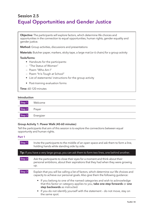### Session 2.5 Equal Opportunities and Gender Justice

Objective: The participants will explore factors, which determine life choices and opportunities in the connection to equal opportunities, human rights, gender equality and gender justice.

Method: Group activities, discussions and presentations

Materials: Butcher paper, markers, sticky tape, a large mat (or 6 chairs) for a group activity

#### Tools/forms:

- Handouts for the participants:
- "The Status of Women"
- Poem "Who Am I"
- Poem "It Is Tough at School"
- List of statements/ instructions for the group activity
- Post-training evaluation forms

Time: 60-120 minutes

#### Introduction

| Step 1 | Welcome   |
|--------|-----------|
| Step 2 | Prayer    |
| Step 3 | Energizer |

#### Group Activity 1: Power Walk (40-60 minutes)

Tell the participants that aim of this session is to explore the connections between equal opportunity and human rights.

#### Part 1

| Step 1 | Invite the participants to the middle of an open space and ask them to form a line,<br>holding hands while standing side by side.                                                     |  |
|--------|---------------------------------------------------------------------------------------------------------------------------------------------------------------------------------------|--|
|        | Tip: If you have a very large group, you can ask them to form two lines, one behind another.                                                                                          |  |
| Step 2 | Ask the participants to close their eyes for a moment and think about their<br>personal ambitions, about their aspirations that they had when they were growing<br>up.                |  |
| Step 3 | Explain that you will be calling a list of factors, which determine our life choices and<br>capacity to achieve our personal goals. Also give them the following quidance:            |  |
|        | • If you belong to one of the named categories and wish to acknowledge<br>that this factor or category applies to you, take one step forwards or one<br>step backwards as instructed. |  |
|        | • If you do not identify yourself with the statement - do not move, stay on<br>the same spot.                                                                                         |  |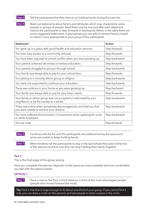#### **Step 4** Tell the participants that they have to try holding hands during this exercise.

**Step 5** Read out statements about factors and attributes which may characterise some people or groups of people. Read them one by one and after each statement instruct the participants to step forwards or backwards. Below in the table there are some suggested statements, if appropriate you can add or remove factors, based on what is more appropriate to your group of the participants.

| <b>Statement</b>                                                                                             | Action         |
|--------------------------------------------------------------------------------------------------------------|----------------|
| You grew up in a place with good health and education services.                                              | Step forwards  |
| You have easy access to a community aid post.                                                                | Step forwards  |
| You have been exposed to armed conflict when you were growing up.                                            | Step backwards |
| Your parents achieved secondary or tertiary education.                                                       | Step forwards  |
| Your parents struggled to put you through school.                                                            | Step backwards |
| Your family was always able to pay for your school fees.                                                     | Step forwards  |
| You belong to a minority ethnic group or religion.                                                           | Step backwards |
| You were not supported to continue your education.                                                           | Step backwards |
| There was violence in your home as you were growing up.                                                      | Step backward  |
| Your family was always able to pay for your basic needs.                                                     | Step forwards  |
| Your family or ethnic group was not accepted or welcomed by your<br>neighbours or by the society as a whole. | Step backwards |
| There was a time when somebody discouraged you and told you that<br>you were unable to achieve your dreams.  | Step backwards |
| You have suffered discrimination or harassment when applying for a job,<br>or while employed.                | Step backwards |
| You are male.                                                                                                | Step forwards  |

**Step 6** Continue with the list until the participants are scattered across the space and some are unable to keep holding hands.

**Step 7** When finished, tell the participants to stay in the spot where they were at the end of the exercise and that now they can stop holding their hands together.

#### Part 2

This is the final stage of this group activity.

How you complete the exercise depends on the space you have available and how comfortable you feel with the options below.

#### OPTION 1:

**Step 1** Place a mat on the floor a short distance in front of the most advantaged people (people who moved forward the most).

Tip: Find a mat that is large enough to fit about one-third of your group. If you cannot find a mat, you can draw a circle on the ground, and ask people to claim a place in the circle.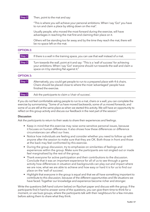**Step 2** Then, point to the mat and say:

"This is where you will achieve your personal ambitions. When I say 'Go!' you have to run and claim a place by sitting down on the mat".

Usually people, who moved the most forward during the exercise, will have advantages in reaching the mat first and claiming their place on it.

Others will be standing too far away and by the time they reach the mat, there will be no space left on the mat.

#### OPTION 2:

| Step 1 | If there is a wall in the training space, you can use that wall instead of a mat.                                                                                                                                        |
|--------|--------------------------------------------------------------------------------------------------------------------------------------------------------------------------------------------------------------------------|
| Step 2 | Turn towards the wall, point at it and say: "This is a 'wall of success' for achieving<br>your ambitions. When I say 'Go!' everyone should run towards the wall and claim a<br>space on it by standing flat against it." |

#### OPTION 3:

| Step 1 | Alternatively, you could get people to run to a prepared place with 4-6 chairs.<br>Chairs should be placed close to where the most 'advantaged' people have<br>finished the exercise. |
|--------|---------------------------------------------------------------------------------------------------------------------------------------------------------------------------------------|
|        |                                                                                                                                                                                       |

**Step 2** Ask the participants to claim a 'chair of success'.

If you do not feel comfortable asking people to run to a mat, chairs or a wall, you can complete the exercise by summarising: "Some of us have moved backwards, some of us moved forwards, and some of us are still at the same place as when we started this activity. We will have an opportunity to reflect on this group activity and discuss our feedback in the next part of the session."

#### **Discussion**

Ask the participants to return to their seats to share their experiences and feelings.

- Keep in mind that this exercise may raise some sensitive personal issues, because it focuses on human differences. It also shows how these differences or difference circumstances can affect our lives.
- Notice how individuals are feeling and consider whether you need to follow up with anyone after the session to make sure that they are OK. Both those in front and those at the back may feel confronted by this exercise.
- During the group discussion, try to emphasize on similarities of feelings and experiences within the group. Make sure the participants are not singled out or made feel marginalised by the rest of the group.
- Thank everyone for active participation and their contributions to the discussion. Conclude that it was an important experience for all of us to see through a game activity how differences in situation and backgrounds can play out and impact where we are now, what we are able to achieve and how easy or hard it is for us to find our place on the 'wall of success'.
- Highlight that everyone in the group is equal and that we all have something important to contribute to this discussion, because of the different opportunities and life situations we have faced. Together our knowledge and experience become richer and stronger.

Write the questions (left hand column below) on flipchart paper and discuss with the group. If the participants find it hard to answer some of the questions, you can give them time to think for a moment, or use buzz groups, where the participants talk with their neighbours for a few minutes before asking them to share what they think.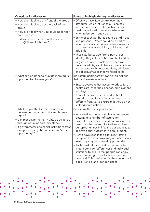| <b>Questions for discussion</b>                                                                                                                                                                                                                  | Points to highlight during the discussion                                                                                                                                                                                                                                             |
|--------------------------------------------------------------------------------------------------------------------------------------------------------------------------------------------------------------------------------------------------|---------------------------------------------------------------------------------------------------------------------------------------------------------------------------------------------------------------------------------------------------------------------------------------|
| • How did it feel to be in front of the group?<br>. How did it feel to be at the back of the<br>group?<br>• How did it feel when you could no longer<br>hold hands?                                                                              | • Often we have little control over many<br>attributes, which influence our choices<br>and opportunities in life, such as access to<br>health or education services, where and<br>when to be born, and so on.                                                                         |
| • Did you reach the mat (wall, chair or<br>circle)? How did this feel?                                                                                                                                                                           | • Some of such attributes could be individual<br>and personal. Others could be a part of<br>external social and cultural environment or<br>circumstances of our birth, childhood and<br>adult life.                                                                                   |
|                                                                                                                                                                                                                                                  | • These attributes also form a part of our<br>identity; they influence how we think and act.                                                                                                                                                                                          |
|                                                                                                                                                                                                                                                  | • Regardless of circumstances, when we<br>become adults, we do have a choice of how<br>we respond to the opportunities, privileges<br>and disadvantages that we faced in life.                                                                                                        |
| • What can be done to provide more equal<br>opportunities for everyone?                                                                                                                                                                          | Brainstorm participant's views on this. Actions<br>that may be mentioned are:                                                                                                                                                                                                         |
|                                                                                                                                                                                                                                                  | • Ensure everyone has access to education,<br>health care, other basic needs, employment<br>and legal justice.                                                                                                                                                                        |
|                                                                                                                                                                                                                                                  | • Treat others with respect and without<br>prejudice, despite the fact that they may be<br>different from us, to ensure that they do not<br>suffer discrimination.                                                                                                                    |
| . What do you think is the connection                                                                                                                                                                                                            | Brainstorm the participants views:                                                                                                                                                                                                                                                    |
| between equal opportunity and human<br>rights?<br>• Can respect for human rights be achieved<br>through equal opportunity alone?<br>• If governments and social institutions treat<br>everyone exactly the same, is that "equal<br>opportunity"? | • Individual attributes and life circumstances<br>determine a number of factors, for<br>example: our access to and control over the<br>resources that we require to live our lives,<br>our opportunities in life, and our capacity to<br>achieve equal outcomes in employment.        |
|                                                                                                                                                                                                                                                  | • As we have seen in the exercise, treating<br>everyone the same way, may not necessarily<br>lead to giving them equal opportunities.                                                                                                                                                 |
|                                                                                                                                                                                                                                                  | · Social institutions as well as our attitudes<br>should consider differences and individual<br>situations to ensure that people can enjoy<br>their human rights, and achieve their full<br>potential. This is reflected in the concepts of<br>'social justice' and 'gender justice'. |

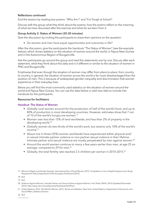#### Reflections continued

End the session by reading two poems: "Who Am I" and "It Is Tough at School".

Discuss with the group what they think about the poems, how the poems reflect on the meaning of what we have discussed after the exercise and what do we learn from it.

#### Group Activity 2: Status of Women (20-30 minutes)

Start the discussion by inviting the participants to share their opinions on the question:

• Do women and men have equal opportunities and outcomes in life?

After the discussion, give the participants the handouts "The Status of Women" (see the example below), which shows statistics on the situation of women around the world, in Papua New Guinea and in the Autonomous Region of Bougainville.

Ask the participants go around the group and read the statements one by one. Discuss after each statement, what they think about this data and is it different or similar to the situation of women in PNG and Bougainville.

Emphasise that even though the situation of women may differ from place to place, from country to country, in general, the situation of women across the world is far more disadvantaged than the position of men. This is because of widespread gender inequality and discrimination that women experience in their everyday lives.

Below you will find the most commonly used statistics on the situation of women around the world and Papua New Guinea. You can use the data below or add new data to include into handouts for the participants.

#### Resources for facilitators

#### Handout: The Status of Women

- Globally rural women account for the production of half of the world's food, and up to 80% of production in most developing countries. However, estimates show that 7 out of 10 of the world's hungry are women.<sup>17</sup>
- Women own less than 15% of land worldwide, and less than 2% of property in the developing world.18
- Globally women do two-thirds of the world's work, but receive only 10% of the world's income.19
- About one in three (35%) women worldwide have experienced either physical and/ or sexual intimate partner violence or non-partner sexual violence in their lifetime. Intimate partner and sexual violence are mostly perpetrated by men against women.<sup>20</sup>
- Around the world women continue to marry a few years earlier than men, at age 25 on average, compared to 29 for men.<sup>21</sup>
- Globally, the total fertility rate reached 2.5 children per woman in 2010-2015.<sup>22</sup>

<sup>17</sup>. Women's Rights and Gender Equality: International Day of Rural Women 2015. Compilation of an In-Depth Analysis and a Study. Prepared for Policy Department of the European Parliament (2015).

<sup>18.</sup> Ibid

<sup>19.</sup> Ibid

<sup>20.</sup> Violence Against Women: Intimate Partner and Sexual Violence Against Women. Fact Sheet. WHO: 2016 (Updated November 2016): http://www.who.int/mediacentre/factsheets/fs239/en/

<sup>21.</sup> United Nations, 2015. The World's Women 2015: Trends and Statistics. New York: United Nations, Department of Economic and Social Affairs, Statistics Division.

<sup>22.</sup> Ibid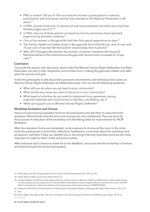- PNG is ranked 138 out of 143 countries for women's participation in national parliaments, with only seven women ever elected to the National Parliament in 40 years.23
- In PNG, women hold only 12 percent of executive positions and there are only three female judges out of 27.<sup>24</sup>
- In PNG, two out of three women surveyed across four provinces have reported experiencing domestic violence.<sup>25</sup>
- $\bullet$  One in five women in Bougainville had their first sexual experience as rape.<sup>26</sup>
- The Family, Health and Safety Study in Bougainville found that 85 per cent of men and 75 per cent of women felt that women should obey their husband.<sup>27</sup>
- After 2015 Bougainville election the number of women members the House of Representatives of the Autonomous Bougainville Government increased to 10 per cent.28

#### **Conclusion**

Conclude the session with discussion about roles that Women Human Rights Defenders and Male Advocates can play in their respective communities and in making Bougainville a better and safer place for women and girls.

Invite the participants to talk about their personal commitments and individual action plans as Women Human Rights Defenders and Male Advocates'. You can ask the following questions:

- What will you do when you go back to your community?
- What are the key issues you want to focus on in your community?
- What types of activities do you want to implement (e.g. awareness raising, organise meetings with local women or families, counselling, etc.)?
- What can support you as Women Human Rights Defender?

#### Workshop Evaluation and Closure

Hand out post-training evaluation forms to the participants and ask them to respond to the questions. Remind them that the forms are anonymous and confidential. They are done for the purpose of evaluation of the workshop and identifying areas for improvement for NCfR facilitators.

After the evaluation forms are completed, invite everyone to sit around the room in the circle. Invite the participants to share their reflections, feedback or comments about the workshop and all sessions. Ask them if they can identify one or two things that they have learnt and are the most important or useful to them. Invite everyone to share.

After everyone had a chance to share his or her feedback, announce that the workshop is finished and thank everyone for active participation.

- 23. World Bank et al (2013) Papua New Guinea Country Gender Assessment 2011–2012, p. 96.
- 24. Pacific Women PNG Country Plan (2014–2019), p.4.
- 25. Ganster-Breidler, M. (2010), Gender Based Violence and the Impact on Women's Health and Well-being in Papua New Guinea: A cross-sectional survey using sections of World Health Organization's Violence Against Women Instrument for use in the WHP. Multi-Country Study on Women's Health and Life Experiences, Papua New Guinea: HORIZONT3000.
- 26. Partners for Prevention. Family, Health and Safety Study. Autonomous Region of Bougainville, Papua New Guinea: 2015, p.8.

27. Ibid

<sup>28.</sup> Kerryn Baker. Pawa Blong Meri: Women Candidates in the 2015 Bougainville Election SSGM Discussion Paper, 2015/14.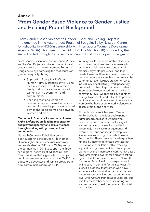### Annex 1: 'From Gender Based Violence to Gender Justice and Healing' Project Background

'From Gender Based Violence to Gender Justice and Healing' Project is implemented in the Autonomous Region of Bougainville by Nazareth Centre for Rehabilitation (NCfR) in partnership with International Women's Development Agency (IWDA). This 3-year project (April 2015 – March 2018) is funded by the Australian Aid through Pacific Women Shaping Pacific Development Program.

From Gender Based Violence to Gender Justice *and Healing* Project aims to reduce family and sexual violence in the Autonomous Region of Bougainville by addressing the root causes of gender inequality, through:

- Supporting Bougainville Women Human Rights Defenders (WHRDs) to lead responses to and prevention of family and sexual violence through working with government and communities.
- Enabling men and women to prevent family and sexual violence at community level by promoting shared power and decision making between women and men.

#### Outcome 1: Bougainville Women's Human Rights Defenders are leading responses to and preventing family and sexual violence through working with government and communities.

Nazareth Centre for Rehabilitation has been supporting the Bougainville Women Human Right's Defenders since a network was established in 2011, with IWDA joining the partnership in 2013 to support the three sub-regional networks of WHRDs in North, Central and South Bougainville. This project continues to develop the capacity of WHRDs as educators, advocates and service providers in rural communities of Bougainville.

In Bougainville, there are both civil society and government services for women, who experience violence, to respond to their medical, psychological, social and legal needs. However, there is a need to ensure that these services are accessible to women at the community level. WHRDs are women who, individually or collectively, work peacefully on behalf of others to promote and defend internationally recognised human rights. At community level, WHRDs are key agents of change to advocate and educate to prevent family and sexual violence and to ensure that women who have experienced violence can access crisis support services.

Through this project, Nazareth Centre for Rehabilitation provides and expands rights-based services to women who have experienced violence including safe accommodation, counselling, facilitating access to justice, case management and referrals. This support includes drop-in and live-in services through four safe houses in Bougainville. These services have largely been funded by income generated by Nazareth Centre for Rehabilitation with increasing support from government and development partners. With an increase in community-based programs raising awareness and advocating against family and sexual violence, Nazareth Centre for Rehabilitation has experienced an increase in demand for their services. As such, it is essential that women who have experienced family and sexual violence can access support services both at community level with WHRDs, trained as counsellors, but also to access other services including safe accommodation, health services and judicial mechanisms.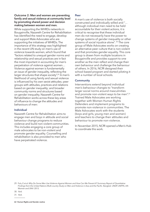#### Outcome 2: Men and women are preventing family and sexual violence at community level by promoting shared power and decision making between women and men.

While supporting the WHRDs networks in Bougainville, Nazareth Centre for Rehabilitation has identified the need to engage, develop and support Male Advocates who are supporting the initiatives of WHRDs. The importance of this strategy was highlighted in the recent UN study on men's use of violence towards women, which found that "factors related to unequal gender norms and relationship and sexual practices are in fact the most important in accounting for men's perpetration of violence against women… Violence against women is fundamentally an issue of gender inequality, reflecting the larger structures that shape society".<sup>29</sup> A man's likelihood of using family and sexual violence is influenced by his own sexist attitudes; peer groups with attitudes, practices and relations based on gender inequality; and broader community norms and structures based on gender inequality. Nazareth Centre for Rehabilitation works across these key areas of influence to change the attitudes and behaviours of men:

#### Individual

Nazareth Centre for Rehabilitation aims to engage men and boys in attitude and social behaviour change programs to reduce violence and build non-violent communities. This includes engaging a core group of male advocates to be non-violent and promote gender equality. Counselling and rehabilitation is also provided to men who have perpetrated violence.

#### Peer

A man's use of violence is both socially constructed and individually willed and "… although individual men need to be held accountable for their violent actions, it is critical to recognise that these individual men do not necessarily have the power to change systems of gender inequality or other systems of social injustice alone". <sup>30</sup> The core group of Male Advocates works on creating an alternative peer culture that is non-violent and that promotes gender equality. This core group is drawn from multiple locations in Bougainville and provides support to one another as the men reflect and change their own behaviour and challenge the behaviour of others. In 2016, NCfR designed their school-based program and started piloting it with a number of local schools.

#### **Community**

Interventions extend beyond individual men's behaviour changes to "transform larger social norms around masculinities and promote non-violent ways to be men".<sup>31</sup> Trained Male Advocates are working together with Women Human Rights Defenders and implement programs to promote non-violence in communities. The Male Advocates work with the students (boys and girls, young men and women) and teachers to change their attitudes and behaviour to promote non-violence.

In November 2015, NCfR opened a Men's Hub to coordinate this work.

<sup>29.</sup> Fulu, E et al. Why Do Some Men Use Violence Against Women and How Can We Prevent It? Summary Report of Quantitative Findings from the United Nations Multi-country Study on Men and Violence in Asia and the Pacific. Bangkok: UNDP, UNFPA, UN Women and UNV: 2013.

<sup>30.</sup> Ibid.

<sup>31.</sup> Ibid.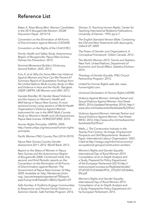### Reference List

Baker, K. Pawa Blong Meri: Women Candidates in the 2015 Bougainville Election. SSGM Discussion Paper: 2015/14.

Convention on the Elimination of All Forms of Discrimination against Women (CEDAW)

Convention on the Rights of the Child (CRC)

Family, Health and Safety Study. Autonomous Region of Bougainville, Papua New Guinea. Partners for Prevention: 2015.

Feminist Movement Builder's Dictionary. Second Edition. JASS: 2013.

Fulu, E. et al. Why Do Some Men Use Violence Against Women and How Can We Prevent It? Summary Report of Quantitative Findings from the United Nations Multi-country Study on Men and Violence in Asia and the Pacific. Bangkok: UNDP, UNFPA, UN Women and UNV: 2013.

Ganster-Breidler, M. Gender Based Violence and the Impact on Women's Health and Well-being in Papua New Guinea: A crosssectional survey using sections of World Health Organization's Violence Against Women Instrument for use in the WHP. Multi-Country Study on Women's Health and Life Experiences, Papua New Guinea. HORIZONT3000: 2010.

Human Rights Principles. UNFPA: 2005. http://www.unfpa.org/resources/human-rightsprinciples

Pacific Women PNG Country Plan (2014–2019).

Papua New Guinea Country Gender Assessment 2011–2012. World Bank: 2013.

Report on the Status of Women in Papua New Guinea and the Autonomous Region of Bougainville 2008. Combined initial, first, second, and third Periodic reports on the Convention on the Elimination of All Forms of Discrimination against Women. The Government of Papua New Guinea: 22 May 2009. Available at: http://tbinternet.ohchr. org/\_layouts/treatybodyexternal/TBSearch. aspx?Lang=en&TreatyID=3&DocTypeID=29

Safe Families. A Toolkit to Engage Communities to Respond to and Prevent Family Violence in Solomon Islands. Safe Families Program: 2016.

Shiman, D. Teaching Human Rights. Center for Teaching International Relations Publications, University of Denver: 1993, pp 6-7.

The English Standard Version Bible: Containing the Old and New Testaments with Apocrypha, Oxford UP: 2009.

The Power of Gender-Just Organizations: A Conceptual Framework. Oxfam Canada: 2012.

The World's Women 2015: Trends and Statistics. New York: United Nations, Department of Economic and Social Affairs, Statistics Division: 2015.

Theology of Gender Equality. PNG Church Partnership Program: 2015.

United for Human Rights web site: www. humanrights.com.

Universal Declaration of Human Rights (UDHR)

Violence Against Women: Intimate Partner and Sexual Violence Against Women. Fact Sheet. WHO: 2016 (Updated November 2016): http:// www.who.int/mediacentre/factsheets/fs239/en/

Violence Against Women: Intimate Partner and Sexual Violence Against Women. Fact Sheet. WHO: 2016. http://www.who.int/mediacentre/ factsheets/fs239/en/

Wells, J. The Construction Industry in the Twenty-First Century: Its Image, Employment Prospects and Skill Requirements. Research Paper. International Labour Organisation: 2001. Cited at http://wiego.org/informal-economy/ occupational-groups/construction-workers.

Women's Rights and Gender Equality: International Day of Rural Women 2015. Compilation of an In-Depth Analysis and a Study. Prepared for Policy Department of the European Parliament (2015) http:// www.europarl.europa.eu/RegData/etudes/ STUD/2015/536466/IPOL\_STU(2015)536466\_ EN.pdf

Women's Rights and Gender Equality: International Day of Rural Women 2015. Compilation of an In-Depth Analysis and a Study. Prepared for Policy Department of t he European Parliament: 2015.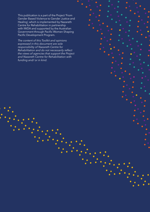This publication is a part of the Project 'From Gender Based Violence to Gender Justice and Healing', which is implemented by Nazareth Centre for Rehabilitation in partnership with IWDA and supported by the Australian Government through Pacific Women Shaping Pacific Development Program.

The content of this Toolkit and opinions expressed in this document are sole responsibility of Nazareth Centre for Rehabilitation and do not necessarily reflect the views of agencies that support the Project and Nazareth Centre for Rehabilitation with funding and/ or in kind.